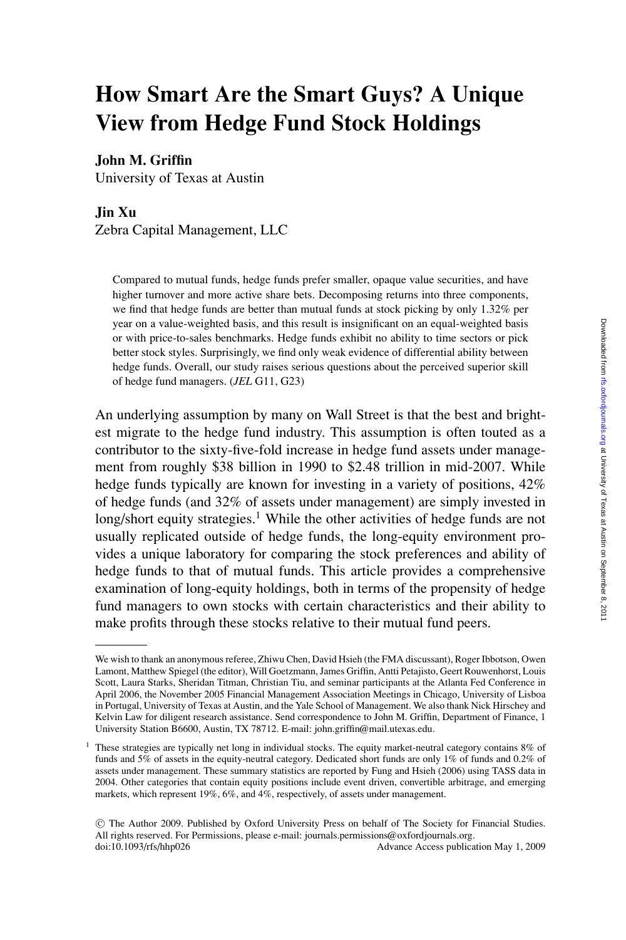# **How Smart Are the Smart Guys? A Unique View from Hedge Fund Stock Holdings**

## **John M. Griffin**

University of Texas at Austin

## **Jin Xu**

Zebra Capital Management, LLC

Compared to mutual funds, hedge funds prefer smaller, opaque value securities, and have higher turnover and more active share bets. Decomposing returns into three components, we find that hedge funds are better than mutual funds at stock picking by only 1.32% per year on a value-weighted basis, and this result is insignificant on an equal-weighted basis or with price-to-sales benchmarks. Hedge funds exhibit no ability to time sectors or pick better stock styles. Surprisingly, we find only weak evidence of differential ability between hedge funds. Overall, our study raises serious questions about the perceived superior skill of hedge fund managers. (*JEL* G11, G23)

An underlying assumption by many on Wall Street is that the best and brightest migrate to the hedge fund industry. This assumption is often touted as a contributor to the sixty-five-fold increase in hedge fund assets under management from roughly \$38 billion in 1990 to \$2.48 trillion in mid-2007. While hedge funds typically are known for investing in a variety of positions, 42% of hedge funds (and 32% of assets under management) are simply invested in long/short equity strategies.<sup>1</sup> While the other activities of hedge funds are not usually replicated outside of hedge funds, the long-equity environment provides a unique laboratory for comparing the stock preferences and ability of hedge funds to that of mutual funds. This article provides a comprehensive examination of long-equity holdings, both in terms of the propensity of hedge fund managers to own stocks with certain characteristics and their ability to make profits through these stocks relative to their mutual fund peers.

We wish to thank an anonymous referee, Zhiwu Chen, David Hsieh (the FMA discussant), Roger Ibbotson, Owen Lamont, Matthew Spiegel (the editor), Will Goetzmann, James Griffin, Antti Petajisto, Geert Rouwenhorst, Louis Scott, Laura Starks, Sheridan Titman, Christian Tiu, and seminar participants at the Atlanta Fed Conference in April 2006, the November 2005 Financial Management Association Meetings in Chicago, University of Lisboa in Portugal, University of Texas at Austin, and the Yale School of Management. We also thank Nick Hirschey and Kelvin Law for diligent research assistance. Send correspondence to John M. Griffin, Department of Finance, 1 University Station B6600, Austin, TX 78712. E-mail: john.griffin@mail.utexas.edu.

<sup>&</sup>lt;sup>1</sup> These strategies are typically net long in individual stocks. The equity market-neutral category contains  $8\%$  of funds and 5% of assets in the equity-neutral category. Dedicated short funds are only 1% of funds and 0.2% of assets under management. These summary statistics are reported by Fung and Hsieh (2006) using TASS data in 2004. Other categories that contain equity positions include event driven, convertible arbitrage, and emerging markets, which represent 19%, 6%, and 4%, respectively, of assets under management.

<sup>-</sup>C The Author 2009. Published by Oxford University Press on behalf of The Society for Financial Studies. All rights reserved. For Permissions, please e-mail: journals.permissions@oxfordjournals.org. Advance Access publication May 1, 2009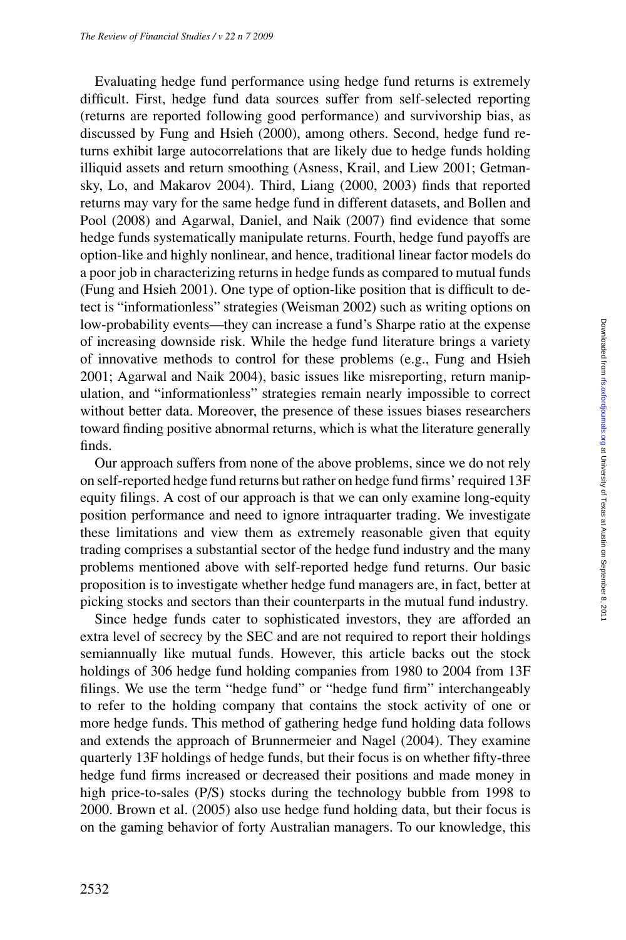Evaluating hedge fund performance using hedge fund returns is extremely difficult. First, hedge fund data sources suffer from self-selected reporting (returns are reported following good performance) and survivorship bias, as discussed by Fung and Hsieh (2000), among others. Second, hedge fund returns exhibit large autocorrelations that are likely due to hedge funds holding illiquid assets and return smoothing (Asness, Krail, and Liew 2001; Getmansky, Lo, and Makarov 2004). Third, Liang (2000, 2003) finds that reported returns may vary for the same hedge fund in different datasets, and Bollen and Pool (2008) and Agarwal, Daniel, and Naik (2007) find evidence that some hedge funds systematically manipulate returns. Fourth, hedge fund payoffs are option-like and highly nonlinear, and hence, traditional linear factor models do a poor job in characterizing returns in hedge funds as compared to mutual funds (Fung and Hsieh 2001). One type of option-like position that is difficult to detect is "informationless" strategies (Weisman 2002) such as writing options on low-probability events—they can increase a fund's Sharpe ratio at the expense of increasing downside risk. While the hedge fund literature brings a variety of innovative methods to control for these problems (e.g., Fung and Hsieh 2001; Agarwal and Naik 2004), basic issues like misreporting, return manipulation, and "informationless" strategies remain nearly impossible to correct without better data. Moreover, the presence of these issues biases researchers toward finding positive abnormal returns, which is what the literature generally finds.

Our approach suffers from none of the above problems, since we do not rely on self-reported hedge fund returns but rather on hedge fund firms' required 13F equity filings. A cost of our approach is that we can only examine long-equity position performance and need to ignore intraquarter trading. We investigate these limitations and view them as extremely reasonable given that equity trading comprises a substantial sector of the hedge fund industry and the many problems mentioned above with self-reported hedge fund returns. Our basic proposition is to investigate whether hedge fund managers are, in fact, better at picking stocks and sectors than their counterparts in the mutual fund industry.

Since hedge funds cater to sophisticated investors, they are afforded an extra level of secrecy by the SEC and are not required to report their holdings semiannually like mutual funds. However, this article backs out the stock holdings of 306 hedge fund holding companies from 1980 to 2004 from 13F filings. We use the term "hedge fund" or "hedge fund firm" interchangeably to refer to the holding company that contains the stock activity of one or more hedge funds. This method of gathering hedge fund holding data follows and extends the approach of Brunnermeier and Nagel (2004). They examine quarterly 13F holdings of hedge funds, but their focus is on whether fifty-three hedge fund firms increased or decreased their positions and made money in high price-to-sales (P/S) stocks during the technology bubble from 1998 to 2000. Brown et al. (2005) also use hedge fund holding data, but their focus is on the gaming behavior of forty Australian managers. To our knowledge, this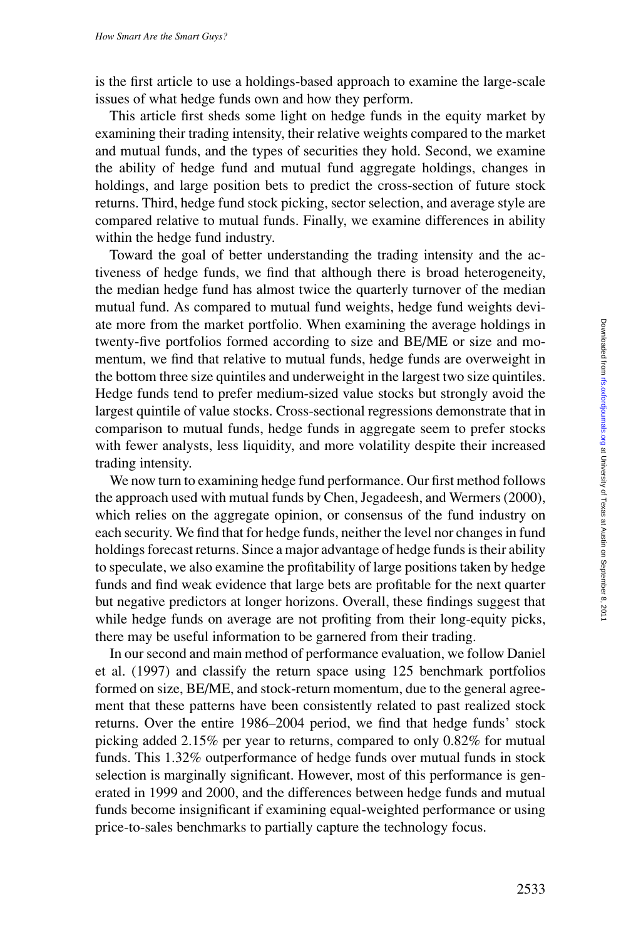is the first article to use a holdings-based approach to examine the large-scale issues of what hedge funds own and how they perform.

This article first sheds some light on hedge funds in the equity market by examining their trading intensity, their relative weights compared to the market and mutual funds, and the types of securities they hold. Second, we examine the ability of hedge fund and mutual fund aggregate holdings, changes in holdings, and large position bets to predict the cross-section of future stock returns. Third, hedge fund stock picking, sector selection, and average style are compared relative to mutual funds. Finally, we examine differences in ability within the hedge fund industry.

Toward the goal of better understanding the trading intensity and the activeness of hedge funds, we find that although there is broad heterogeneity, the median hedge fund has almost twice the quarterly turnover of the median mutual fund. As compared to mutual fund weights, hedge fund weights deviate more from the market portfolio. When examining the average holdings in twenty-five portfolios formed according to size and BE/ME or size and momentum, we find that relative to mutual funds, hedge funds are overweight in the bottom three size quintiles and underweight in the largest two size quintiles. Hedge funds tend to prefer medium-sized value stocks but strongly avoid the largest quintile of value stocks. Cross-sectional regressions demonstrate that in comparison to mutual funds, hedge funds in aggregate seem to prefer stocks with fewer analysts, less liquidity, and more volatility despite their increased trading intensity.

We now turn to examining hedge fund performance. Our first method follows the approach used with mutual funds by Chen, Jegadeesh, and Wermers (2000), which relies on the aggregate opinion, or consensus of the fund industry on each security. We find that for hedge funds, neither the level nor changes in fund holdings forecast returns. Since a major advantage of hedge funds is their ability to speculate, we also examine the profitability of large positions taken by hedge funds and find weak evidence that large bets are profitable for the next quarter but negative predictors at longer horizons. Overall, these findings suggest that while hedge funds on average are not profiting from their long-equity picks, there may be useful information to be garnered from their trading.

In our second and main method of performance evaluation, we follow Daniel et al. (1997) and classify the return space using 125 benchmark portfolios formed on size, BE/ME, and stock-return momentum, due to the general agreement that these patterns have been consistently related to past realized stock returns. Over the entire 1986–2004 period, we find that hedge funds' stock picking added 2.15% per year to returns, compared to only 0.82% for mutual funds. This 1.32% outperformance of hedge funds over mutual funds in stock selection is marginally significant. However, most of this performance is generated in 1999 and 2000, and the differences between hedge funds and mutual funds become insignificant if examining equal-weighted performance or using price-to-sales benchmarks to partially capture the technology focus.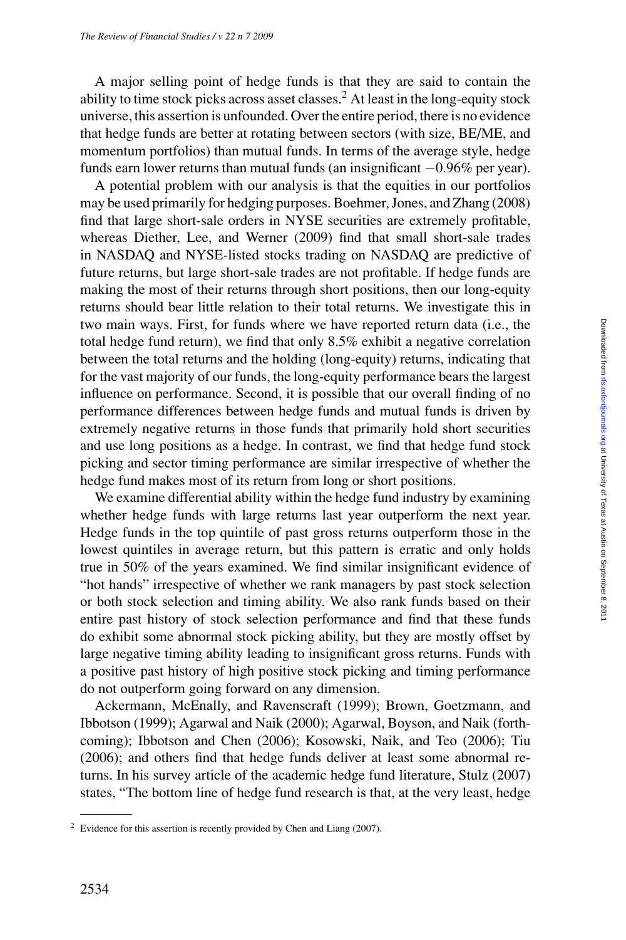A major selling point of hedge funds is that they are said to contain the ability to time stock picks across asset classes.2 At least in the long-equity stock universe, this assertion is unfounded. Over the entire period, there is no evidence that hedge funds are better at rotating between sectors (with size, BE/ME, and momentum portfolios) than mutual funds. In terms of the average style, hedge funds earn lower returns than mutual funds (an insignificant −0.96% per year).

A potential problem with our analysis is that the equities in our portfolios may be used primarily for hedging purposes. Boehmer, Jones, and Zhang (2008) find that large short-sale orders in NYSE securities are extremely profitable, whereas Diether, Lee, and Werner (2009) find that small short-sale trades in NASDAQ and NYSE-listed stocks trading on NASDAQ are predictive of future returns, but large short-sale trades are not profitable. If hedge funds are making the most of their returns through short positions, then our long-equity returns should bear little relation to their total returns. We investigate this in two main ways. First, for funds where we have reported return data (i.e., the total hedge fund return), we find that only 8.5% exhibit a negative correlation between the total returns and the holding (long-equity) returns, indicating that for the vast majority of our funds, the long-equity performance bears the largest influence on performance. Second, it is possible that our overall finding of no performance differences between hedge funds and mutual funds is driven by extremely negative returns in those funds that primarily hold short securities and use long positions as a hedge. In contrast, we find that hedge fund stock picking and sector timing performance are similar irrespective of whether the hedge fund makes most of its return from long or short positions.

We examine differential ability within the hedge fund industry by examining whether hedge funds with large returns last year outperform the next year. Hedge funds in the top quintile of past gross returns outperform those in the lowest quintiles in average return, but this pattern is erratic and only holds true in 50% of the years examined. We find similar insignificant evidence of "hot hands" irrespective of whether we rank managers by past stock selection or both stock selection and timing ability. We also rank funds based on their entire past history of stock selection performance and find that these funds do exhibit some abnormal stock picking ability, but they are mostly offset by large negative timing ability leading to insignificant gross returns. Funds with a positive past history of high positive stock picking and timing performance do not outperform going forward on any dimension.

Ackermann, McEnally, and Ravenscraft (1999); Brown, Goetzmann, and Ibbotson (1999); Agarwal and Naik (2000); Agarwal, Boyson, and Naik (forthcoming); Ibbotson and Chen (2006); Kosowski, Naik, and Teo (2006); Tiu (2006); and others find that hedge funds deliver at least some abnormal returns. In his survey article of the academic hedge fund literature, Stulz (2007) states, "The bottom line of hedge fund research is that, at the very least, hedge

<sup>2</sup> Evidence for this assertion is recently provided by Chen and Liang (2007).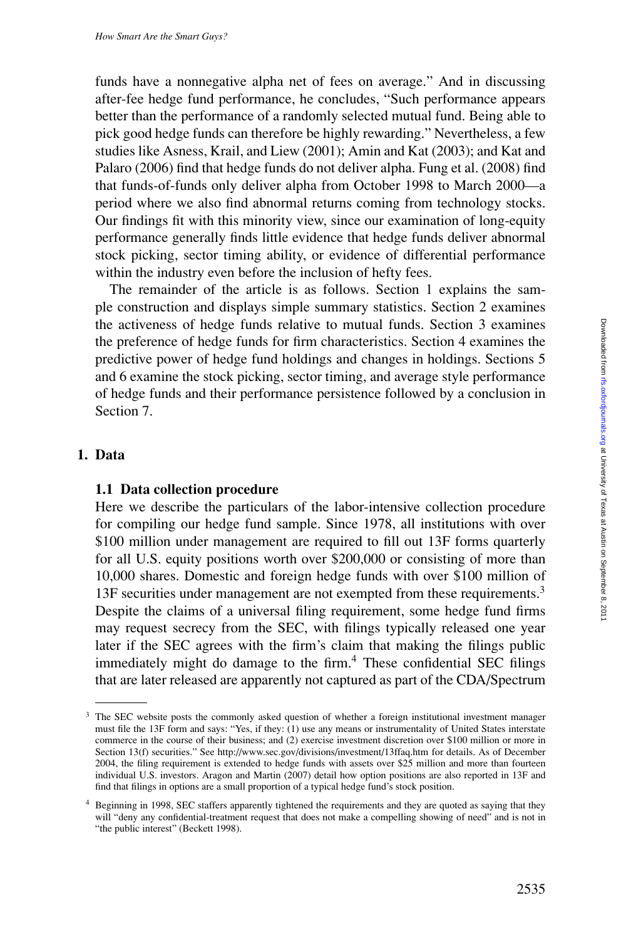funds have a nonnegative alpha net of fees on average." And in discussing after-fee hedge fund performance, he concludes, "Such performance appears better than the performance of a randomly selected mutual fund. Being able to pick good hedge funds can therefore be highly rewarding." Nevertheless, a few studies like Asness, Krail, and Liew (2001); Amin and Kat (2003); and Kat and Palaro (2006) find that hedge funds do not deliver alpha. Fung et al. (2008) find that funds-of-funds only deliver alpha from October 1998 to March 2000—a period where we also find abnormal returns coming from technology stocks. Our findings fit with this minority view, since our examination of long-equity performance generally finds little evidence that hedge funds deliver abnormal stock picking, sector timing ability, or evidence of differential performance within the industry even before the inclusion of hefty fees.

The remainder of the article is as follows. Section 1 explains the sample construction and displays simple summary statistics. Section 2 examines the activeness of hedge funds relative to mutual funds. Section 3 examines the preference of hedge funds for firm characteristics. Section 4 examines the predictive power of hedge fund holdings and changes in holdings. Sections 5 and 6 examine the stock picking, sector timing, and average style performance of hedge funds and their performance persistence followed by a conclusion in Section 7.

### **1. Data**

### **1.1 Data collection procedure**

Here we describe the particulars of the labor-intensive collection procedure for compiling our hedge fund sample. Since 1978, all institutions with over \$100 million under management are required to fill out 13F forms quarterly for all U.S. equity positions worth over \$200,000 or consisting of more than 10,000 shares. Domestic and foreign hedge funds with over \$100 million of 13F securities under management are not exempted from these requirements.<sup>3</sup> Despite the claims of a universal filing requirement, some hedge fund firms may request secrecy from the SEC, with filings typically released one year later if the SEC agrees with the firm's claim that making the filings public immediately might do damage to the firm.<sup>4</sup> These confidential SEC filings that are later released are apparently not captured as part of the CDA/Spectrum

<sup>&</sup>lt;sup>3</sup> The SEC website posts the commonly asked question of whether a foreign institutional investment manager must file the 13F form and says: "Yes, if they: (1) use any means or instrumentality of United States interstate commerce in the course of their business; and (2) exercise investment discretion over \$100 million or more in Section 13(f) securities." See http://www.sec.gov/divisions/investment/13ffaq.htm for details. As of December 2004, the filing requirement is extended to hedge funds with assets over \$25 million and more than fourteen individual U.S. investors. Aragon and Martin (2007) detail how option positions are also reported in 13F and find that filings in options are a small proportion of a typical hedge fund's stock position.

<sup>&</sup>lt;sup>4</sup> Beginning in 1998, SEC staffers apparently tightened the requirements and they are quoted as saying that they will "deny any confidential-treatment request that does not make a compelling showing of need" and is not in "the public interest" (Beckett 1998).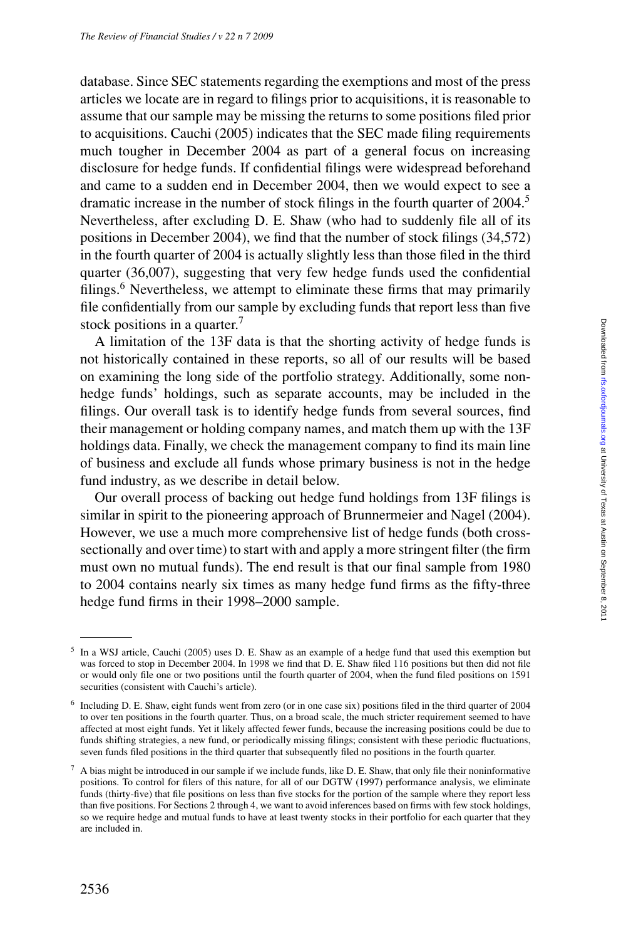database. Since SEC statements regarding the exemptions and most of the press articles we locate are in regard to filings prior to acquisitions, it is reasonable to assume that our sample may be missing the returns to some positions filed prior to acquisitions. Cauchi (2005) indicates that the SEC made filing requirements much tougher in December 2004 as part of a general focus on increasing disclosure for hedge funds. If confidential filings were widespread beforehand and came to a sudden end in December 2004, then we would expect to see a dramatic increase in the number of stock filings in the fourth quarter of 2004.<sup>5</sup> Nevertheless, after excluding D. E. Shaw (who had to suddenly file all of its positions in December 2004), we find that the number of stock filings (34,572) in the fourth quarter of 2004 is actually slightly less than those filed in the third quarter (36,007), suggesting that very few hedge funds used the confidential filings. $<sup>6</sup>$  Nevertheless, we attempt to eliminate these firms that may primarily</sup> file confidentially from our sample by excluding funds that report less than five stock positions in a quarter.<sup>7</sup>

A limitation of the 13F data is that the shorting activity of hedge funds is not historically contained in these reports, so all of our results will be based on examining the long side of the portfolio strategy. Additionally, some nonhedge funds' holdings, such as separate accounts, may be included in the filings. Our overall task is to identify hedge funds from several sources, find their management or holding company names, and match them up with the 13F holdings data. Finally, we check the management company to find its main line of business and exclude all funds whose primary business is not in the hedge fund industry, as we describe in detail below.

Our overall process of backing out hedge fund holdings from 13F filings is similar in spirit to the pioneering approach of Brunnermeier and Nagel (2004). However, we use a much more comprehensive list of hedge funds (both crosssectionally and over time) to start with and apply a more stringent filter (the firm must own no mutual funds). The end result is that our final sample from 1980 to 2004 contains nearly six times as many hedge fund firms as the fifty-three hedge fund firms in their 1998–2000 sample.

<sup>5</sup> In a WSJ article, Cauchi (2005) uses D. E. Shaw as an example of a hedge fund that used this exemption but was forced to stop in December 2004. In 1998 we find that D. E. Shaw filed 116 positions but then did not file or would only file one or two positions until the fourth quarter of 2004, when the fund filed positions on 1591 securities (consistent with Cauchi's article).

<sup>6</sup> Including D. E. Shaw, eight funds went from zero (or in one case six) positions filed in the third quarter of 2004 to over ten positions in the fourth quarter. Thus, on a broad scale, the much stricter requirement seemed to have affected at most eight funds. Yet it likely affected fewer funds, because the increasing positions could be due to funds shifting strategies, a new fund, or periodically missing filings; consistent with these periodic fluctuations, seven funds filed positions in the third quarter that subsequently filed no positions in the fourth quarter.

 $7$  A bias might be introduced in our sample if we include funds, like D. E. Shaw, that only file their noninformative positions. To control for filers of this nature, for all of our DGTW (1997) performance analysis, we eliminate funds (thirty-five) that file positions on less than five stocks for the portion of the sample where they report less than five positions. For Sections 2 through 4, we want to avoid inferences based on firms with few stock holdings, so we require hedge and mutual funds to have at least twenty stocks in their portfolio for each quarter that they are included in.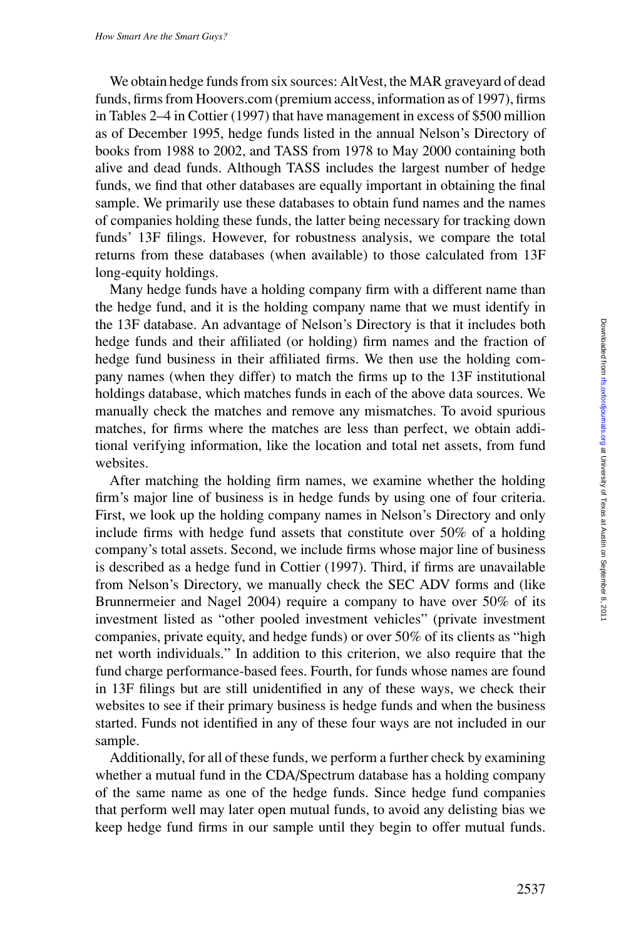We obtain hedge funds from six sources: AltVest, the MAR graveyard of dead funds, firms from Hoovers.com (premium access, information as of 1997), firms in Tables 2–4 in Cottier (1997) that have management in excess of \$500 million as of December 1995, hedge funds listed in the annual Nelson's Directory of books from 1988 to 2002, and TASS from 1978 to May 2000 containing both alive and dead funds. Although TASS includes the largest number of hedge funds, we find that other databases are equally important in obtaining the final sample. We primarily use these databases to obtain fund names and the names of companies holding these funds, the latter being necessary for tracking down funds' 13F filings. However, for robustness analysis, we compare the total returns from these databases (when available) to those calculated from 13F long-equity holdings.

Many hedge funds have a holding company firm with a different name than the hedge fund, and it is the holding company name that we must identify in the 13F database. An advantage of Nelson's Directory is that it includes both hedge funds and their affiliated (or holding) firm names and the fraction of hedge fund business in their affiliated firms. We then use the holding company names (when they differ) to match the firms up to the 13F institutional holdings database, which matches funds in each of the above data sources. We manually check the matches and remove any mismatches. To avoid spurious matches, for firms where the matches are less than perfect, we obtain additional verifying information, like the location and total net assets, from fund websites.

After matching the holding firm names, we examine whether the holding firm's major line of business is in hedge funds by using one of four criteria. First, we look up the holding company names in Nelson's Directory and only include firms with hedge fund assets that constitute over 50% of a holding company's total assets. Second, we include firms whose major line of business is described as a hedge fund in Cottier (1997). Third, if firms are unavailable from Nelson's Directory, we manually check the SEC ADV forms and (like Brunnermeier and Nagel 2004) require a company to have over 50% of its investment listed as "other pooled investment vehicles" (private investment companies, private equity, and hedge funds) or over 50% of its clients as "high net worth individuals." In addition to this criterion, we also require that the fund charge performance-based fees. Fourth, for funds whose names are found in 13F filings but are still unidentified in any of these ways, we check their websites to see if their primary business is hedge funds and when the business started. Funds not identified in any of these four ways are not included in our sample.

Additionally, for all of these funds, we perform a further check by examining whether a mutual fund in the CDA/Spectrum database has a holding company of the same name as one of the hedge funds. Since hedge fund companies that perform well may later open mutual funds, to avoid any delisting bias we keep hedge fund firms in our sample until they begin to offer mutual funds.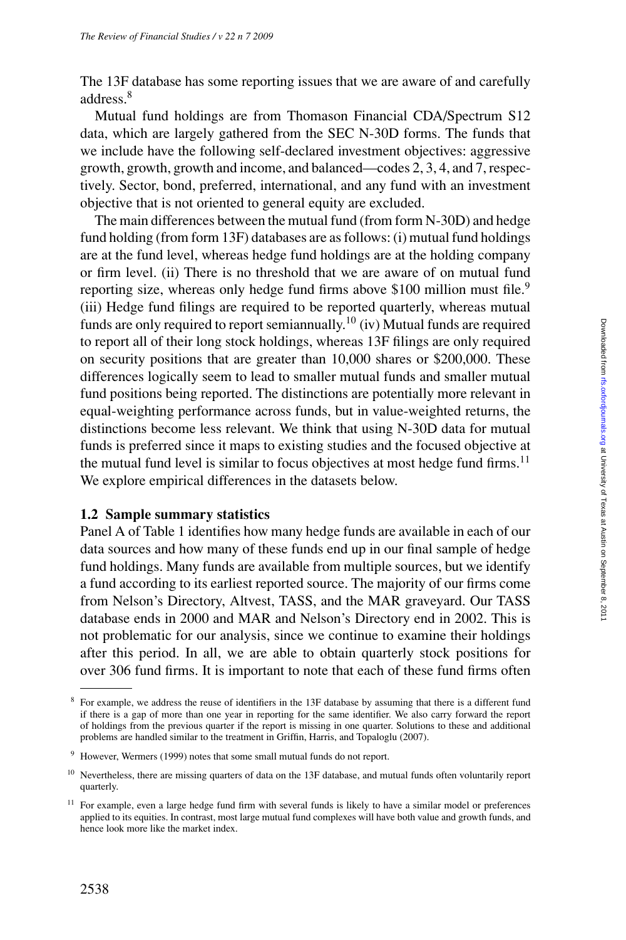The 13F database has some reporting issues that we are aware of and carefully address.8

Mutual fund holdings are from Thomason Financial CDA/Spectrum S12 data, which are largely gathered from the SEC N-30D forms. The funds that we include have the following self-declared investment objectives: aggressive growth, growth, growth and income, and balanced—codes 2, 3, 4, and 7, respectively. Sector, bond, preferred, international, and any fund with an investment objective that is not oriented to general equity are excluded.

The main differences between the mutual fund (from form N-30D) and hedge fund holding (from form 13F) databases are as follows: (i) mutual fund holdings are at the fund level, whereas hedge fund holdings are at the holding company or firm level. (ii) There is no threshold that we are aware of on mutual fund reporting size, whereas only hedge fund firms above \$100 million must file.<sup>9</sup> (iii) Hedge fund filings are required to be reported quarterly, whereas mutual funds are only required to report semiannually.<sup>10</sup> (iv) Mutual funds are required to report all of their long stock holdings, whereas 13F filings are only required on security positions that are greater than 10,000 shares or \$200,000. These differences logically seem to lead to smaller mutual funds and smaller mutual fund positions being reported. The distinctions are potentially more relevant in equal-weighting performance across funds, but in value-weighted returns, the distinctions become less relevant. We think that using N-30D data for mutual funds is preferred since it maps to existing studies and the focused objective at the mutual fund level is similar to focus objectives at most hedge fund firms.<sup>11</sup> We explore empirical differences in the datasets below.

### **1.2 Sample summary statistics**

Panel A of Table 1 identifies how many hedge funds are available in each of our data sources and how many of these funds end up in our final sample of hedge fund holdings. Many funds are available from multiple sources, but we identify a fund according to its earliest reported source. The majority of our firms come from Nelson's Directory, Altvest, TASS, and the MAR graveyard. Our TASS database ends in 2000 and MAR and Nelson's Directory end in 2002. This is not problematic for our analysis, since we continue to examine their holdings after this period. In all, we are able to obtain quarterly stock positions for over 306 fund firms. It is important to note that each of these fund firms often

<sup>8</sup> For example, we address the reuse of identifiers in the 13F database by assuming that there is a different fund if there is a gap of more than one year in reporting for the same identifier. We also carry forward the report of holdings from the previous quarter if the report is missing in one quarter. Solutions to these and additional problems are handled similar to the treatment in Griffin, Harris, and Topaloglu (2007).

<sup>&</sup>lt;sup>9</sup> However, Wermers (1999) notes that some small mutual funds do not report.

<sup>&</sup>lt;sup>10</sup> Nevertheless, there are missing quarters of data on the 13F database, and mutual funds often voluntarily report quarterly.

<sup>&</sup>lt;sup>11</sup> For example, even a large hedge fund firm with several funds is likely to have a similar model or preferences applied to its equities. In contrast, most large mutual fund complexes will have both value and growth funds, and hence look more like the market index.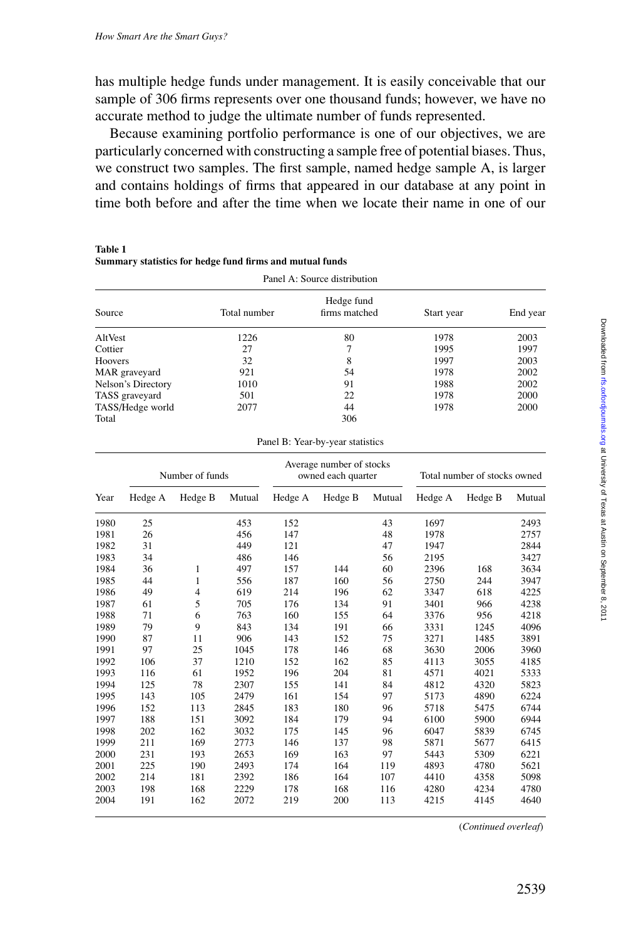has multiple hedge funds under management. It is easily conceivable that our sample of 306 firms represents over one thousand funds; however, we have no accurate method to judge the ultimate number of funds represented.

Because examining portfolio performance is one of our objectives, we are particularly concerned with constructing a sample free of potential biases. Thus, we construct two samples. The first sample, named hedge sample A, is larger and contains holdings of firms that appeared in our database at any point in time both before and after the time when we locate their name in one of our

### **Table 1 Summary statistics for hedge fund firms and mutual funds**

|                    |              | Panel A: Source distribution |            |          |
|--------------------|--------------|------------------------------|------------|----------|
| Source             | Total number | Hedge fund<br>firms matched  | Start year | End year |
| AltVest            | 1226         | 80                           | 1978       | 2003     |
| Cottier            | 27           | 7                            | 1995       | 1997     |
| <b>Hoovers</b>     | 32           | 8                            | 1997       | 2003     |
| MAR graveyard      | 921          | 54                           | 1978       | 2002     |
| Nelson's Directory | 1010         | 91                           | 1988       | 2002     |
| TASS graveyard     | 501          | 22                           | 1978       | 2000     |
| TASS/Hedge world   | 2077         | 44                           | 1978       | 2000     |
| Total              |              | 306                          |            |          |

Panel B: Year-by-year statistics

|      |         | Number of funds |        |         | Average number of stocks<br>owned each quarter |        |         | Total number of stocks owned |        |
|------|---------|-----------------|--------|---------|------------------------------------------------|--------|---------|------------------------------|--------|
| Year | Hedge A | Hedge B         | Mutual | Hedge A | Hedge B                                        | Mutual | Hedge A | Hedge B                      | Mutual |
| 1980 | 25      |                 | 453    | 152     |                                                | 43     | 1697    |                              | 2493   |
| 1981 | 26      |                 | 456    | 147     |                                                | 48     | 1978    |                              | 2757   |
| 1982 | 31      |                 | 449    | 121     |                                                | 47     | 1947    |                              | 2844   |
| 1983 | 34      |                 | 486    | 146     |                                                | 56     | 2195    |                              | 3427   |
| 1984 | 36      | 1               | 497    | 157     | 144                                            | 60     | 2396    | 168                          | 3634   |
| 1985 | 44      | 1               | 556    | 187     | 160                                            | 56     | 2750    | 244                          | 3947   |
| 1986 | 49      | $\overline{4}$  | 619    | 214     | 196                                            | 62     | 3347    | 618                          | 4225   |
| 1987 | 61      | 5               | 705    | 176     | 134                                            | 91     | 3401    | 966                          | 4238   |
| 1988 | 71      | 6               | 763    | 160     | 155                                            | 64     | 3376    | 956                          | 4218   |
| 1989 | 79      | 9               | 843    | 134     | 191                                            | 66     | 3331    | 1245                         | 4096   |
| 1990 | 87      | 11              | 906    | 143     | 152                                            | 75     | 3271    | 1485                         | 3891   |
| 1991 | 97      | 25              | 1045   | 178     | 146                                            | 68     | 3630    | 2006                         | 3960   |
| 1992 | 106     | 37              | 1210   | 152     | 162                                            | 85     | 4113    | 3055                         | 4185   |
| 1993 | 116     | 61              | 1952   | 196     | 204                                            | 81     | 4571    | 4021                         | 5333   |
| 1994 | 125     | 78              | 2307   | 155     | 141                                            | 84     | 4812    | 4320                         | 5823   |
| 1995 | 143     | 105             | 2479   | 161     | 154                                            | 97     | 5173    | 4890                         | 6224   |
| 1996 | 152     | 113             | 2845   | 183     | 180                                            | 96     | 5718    | 5475                         | 6744   |
| 1997 | 188     | 151             | 3092   | 184     | 179                                            | 94     | 6100    | 5900                         | 6944   |
| 1998 | 202     | 162             | 3032   | 175     | 145                                            | 96     | 6047    | 5839                         | 6745   |
| 1999 | 211     | 169             | 2773   | 146     | 137                                            | 98     | 5871    | 5677                         | 6415   |
| 2000 | 231     | 193             | 2653   | 169     | 163                                            | 97     | 5443    | 5309                         | 6221   |
| 2001 | 225     | 190             | 2493   | 174     | 164                                            | 119    | 4893    | 4780                         | 5621   |
| 2002 | 214     | 181             | 2392   | 186     | 164                                            | 107    | 4410    | 4358                         | 5098   |
| 2003 | 198     | 168             | 2229   | 178     | 168                                            | 116    | 4280    | 4234                         | 4780   |
| 2004 | 191     | 162             | 2072   | 219     | 200                                            | 113    | 4215    | 4145                         | 4640   |

(*Continued overleaf*)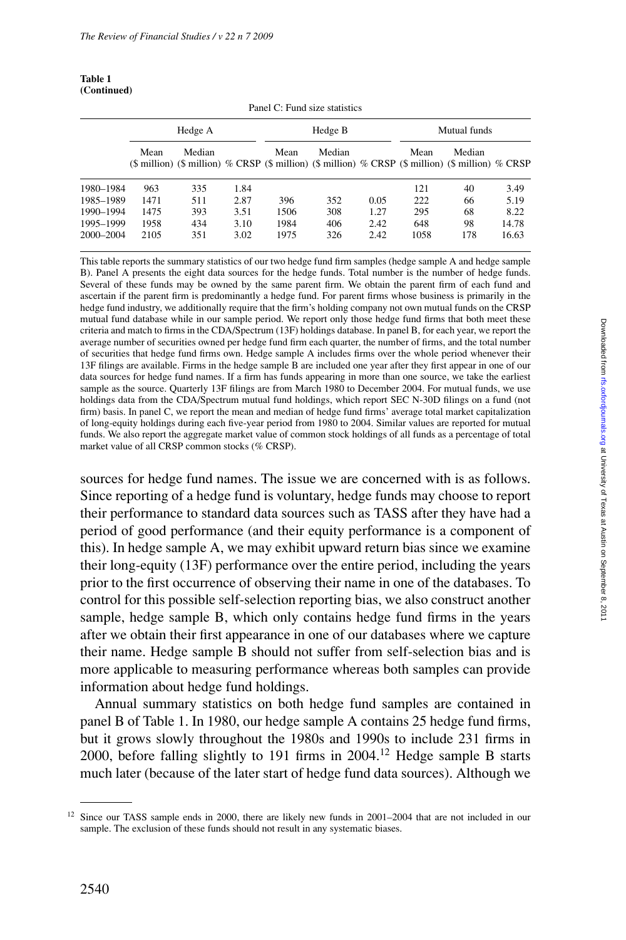|           |      |                                                                                                              |      |      | Panel C: Fund size statistics |      |      |              |       |
|-----------|------|--------------------------------------------------------------------------------------------------------------|------|------|-------------------------------|------|------|--------------|-------|
|           |      | Hedge A                                                                                                      |      |      | Hedge B                       |      |      | Mutual funds |       |
|           | Mean | Median<br>(\$ million) (\$ million) % CRSP (\$ million) (\$ million) % CRSP (\$ million) (\$ million) % CRSP |      | Mean | Median                        |      | Mean | Median       |       |
| 1980-1984 | 963  | 335                                                                                                          | 1.84 |      |                               |      | 121  | 40           | 3.49  |
| 1985-1989 | 1471 | 511                                                                                                          | 2.87 | 396  | 352                           | 0.05 | 222  | 66           | 5.19  |
| 1990-1994 | 1475 | 393                                                                                                          | 3.51 | 1506 | 308                           | 1.27 | 295  | 68           | 8.22  |
| 1995-1999 | 1958 | 434                                                                                                          | 3.10 | 1984 | 406                           | 2.42 | 648  | 98           | 14.78 |
| 2000-2004 | 2105 | 351                                                                                                          | 3.02 | 1975 | 326                           | 2.42 | 1058 | 178          | 16.63 |

| Table 1     |
|-------------|
| (Continued) |

This table reports the summary statistics of our two hedge fund firm samples (hedge sample A and hedge sample B). Panel A presents the eight data sources for the hedge funds. Total number is the number of hedge funds. Several of these funds may be owned by the same parent firm. We obtain the parent firm of each fund and ascertain if the parent firm is predominantly a hedge fund. For parent firms whose business is primarily in the hedge fund industry, we additionally require that the firm's holding company not own mutual funds on the CRSP mutual fund database while in our sample period. We report only those hedge fund firms that both meet these criteria and match to firms in the CDA/Spectrum (13F) holdings database. In panel B, for each year, we report the average number of securities owned per hedge fund firm each quarter, the number of firms, and the total number of securities that hedge fund firms own. Hedge sample A includes firms over the whole period whenever their 13F filings are available. Firms in the hedge sample B are included one year after they first appear in one of our data sources for hedge fund names. If a firm has funds appearing in more than one source, we take the earliest sample as the source. Quarterly 13F filings are from March 1980 to December 2004. For mutual funds, we use holdings data from the CDA/Spectrum mutual fund holdings, which report SEC N-30D filings on a fund (not firm) basis. In panel C, we report the mean and median of hedge fund firms' average total market capitalization of long-equity holdings during each five-year period from 1980 to 2004. Similar values are reported for mutual funds. We also report the aggregate market value of common stock holdings of all funds as a percentage of total market value of all CRSP common stocks (% CRSP).

sources for hedge fund names. The issue we are concerned with is as follows. Since reporting of a hedge fund is voluntary, hedge funds may choose to report their performance to standard data sources such as TASS after they have had a period of good performance (and their equity performance is a component of this). In hedge sample A, we may exhibit upward return bias since we examine their long-equity (13F) performance over the entire period, including the years prior to the first occurrence of observing their name in one of the databases. To control for this possible self-selection reporting bias, we also construct another sample, hedge sample B, which only contains hedge fund firms in the years after we obtain their first appearance in one of our databases where we capture their name. Hedge sample B should not suffer from self-selection bias and is more applicable to measuring performance whereas both samples can provide information about hedge fund holdings.

Annual summary statistics on both hedge fund samples are contained in panel B of Table 1. In 1980, our hedge sample A contains 25 hedge fund firms, but it grows slowly throughout the 1980s and 1990s to include 231 firms in 2000, before falling slightly to 191 firms in 2004.12 Hedge sample B starts much later (because of the later start of hedge fund data sources). Although we

<sup>&</sup>lt;sup>12</sup> Since our TASS sample ends in 2000, there are likely new funds in 2001–2004 that are not included in our sample. The exclusion of these funds should not result in any systematic biases.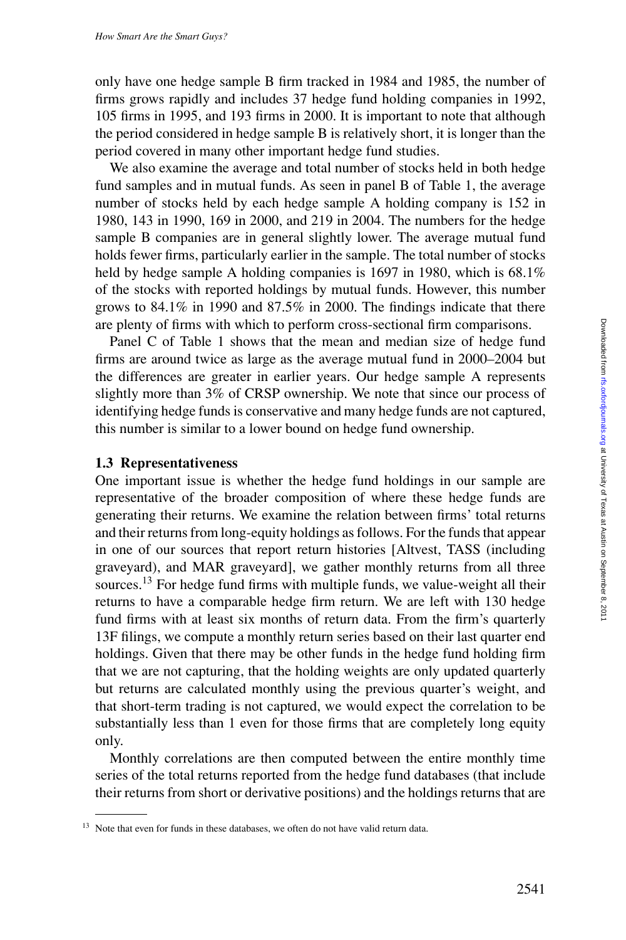only have one hedge sample B firm tracked in 1984 and 1985, the number of firms grows rapidly and includes 37 hedge fund holding companies in 1992, 105 firms in 1995, and 193 firms in 2000. It is important to note that although the period considered in hedge sample B is relatively short, it is longer than the period covered in many other important hedge fund studies.

We also examine the average and total number of stocks held in both hedge fund samples and in mutual funds. As seen in panel B of Table 1, the average number of stocks held by each hedge sample A holding company is 152 in 1980, 143 in 1990, 169 in 2000, and 219 in 2004. The numbers for the hedge sample B companies are in general slightly lower. The average mutual fund holds fewer firms, particularly earlier in the sample. The total number of stocks held by hedge sample A holding companies is 1697 in 1980, which is 68.1% of the stocks with reported holdings by mutual funds. However, this number grows to 84.1% in 1990 and 87.5% in 2000. The findings indicate that there are plenty of firms with which to perform cross-sectional firm comparisons.

Panel C of Table 1 shows that the mean and median size of hedge fund firms are around twice as large as the average mutual fund in 2000–2004 but the differences are greater in earlier years. Our hedge sample A represents slightly more than 3% of CRSP ownership. We note that since our process of identifying hedge funds is conservative and many hedge funds are not captured, this number is similar to a lower bound on hedge fund ownership.

### **1.3 Representativeness**

One important issue is whether the hedge fund holdings in our sample are representative of the broader composition of where these hedge funds are generating their returns. We examine the relation between firms' total returns and their returns from long-equity holdings as follows. For the funds that appear in one of our sources that report return histories [Altvest, TASS (including graveyard), and MAR graveyard], we gather monthly returns from all three sources.<sup>13</sup> For hedge fund firms with multiple funds, we value-weight all their returns to have a comparable hedge firm return. We are left with 130 hedge fund firms with at least six months of return data. From the firm's quarterly 13F filings, we compute a monthly return series based on their last quarter end holdings. Given that there may be other funds in the hedge fund holding firm that we are not capturing, that the holding weights are only updated quarterly but returns are calculated monthly using the previous quarter's weight, and that short-term trading is not captured, we would expect the correlation to be substantially less than 1 even for those firms that are completely long equity only.

Monthly correlations are then computed between the entire monthly time series of the total returns reported from the hedge fund databases (that include their returns from short or derivative positions) and the holdings returns that are

Note that even for funds in these databases, we often do not have valid return data.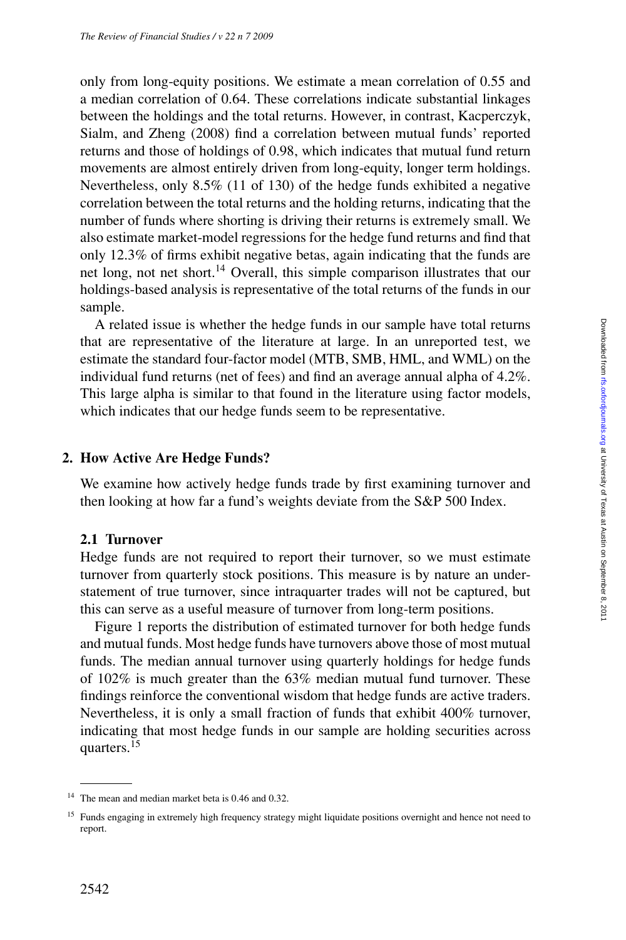only from long-equity positions. We estimate a mean correlation of 0.55 and a median correlation of 0.64. These correlations indicate substantial linkages between the holdings and the total returns. However, in contrast, Kacperczyk, Sialm, and Zheng (2008) find a correlation between mutual funds' reported returns and those of holdings of 0.98, which indicates that mutual fund return movements are almost entirely driven from long-equity, longer term holdings. Nevertheless, only 8.5% (11 of 130) of the hedge funds exhibited a negative correlation between the total returns and the holding returns, indicating that the number of funds where shorting is driving their returns is extremely small. We also estimate market-model regressions for the hedge fund returns and find that only 12.3% of firms exhibit negative betas, again indicating that the funds are net long, not net short.14 Overall, this simple comparison illustrates that our holdings-based analysis is representative of the total returns of the funds in our sample.

A related issue is whether the hedge funds in our sample have total returns that are representative of the literature at large. In an unreported test, we estimate the standard four-factor model (MTB, SMB, HML, and WML) on the individual fund returns (net of fees) and find an average annual alpha of 4.2%. This large alpha is similar to that found in the literature using factor models, which indicates that our hedge funds seem to be representative.

## **2. How Active Are Hedge Funds?**

We examine how actively hedge funds trade by first examining turnover and then looking at how far a fund's weights deviate from the S&P 500 Index.

### **2.1 Turnover**

Hedge funds are not required to report their turnover, so we must estimate turnover from quarterly stock positions. This measure is by nature an understatement of true turnover, since intraquarter trades will not be captured, but this can serve as a useful measure of turnover from long-term positions.

Figure 1 reports the distribution of estimated turnover for both hedge funds and mutual funds. Most hedge funds have turnovers above those of most mutual funds. The median annual turnover using quarterly holdings for hedge funds of 102% is much greater than the 63% median mutual fund turnover. These findings reinforce the conventional wisdom that hedge funds are active traders. Nevertheless, it is only a small fraction of funds that exhibit 400% turnover, indicating that most hedge funds in our sample are holding securities across quarters.<sup>15</sup>

<sup>14</sup> The mean and median market beta is 0.46 and 0.32.

<sup>&</sup>lt;sup>15</sup> Funds engaging in extremely high frequency strategy might liquidate positions overnight and hence not need to report.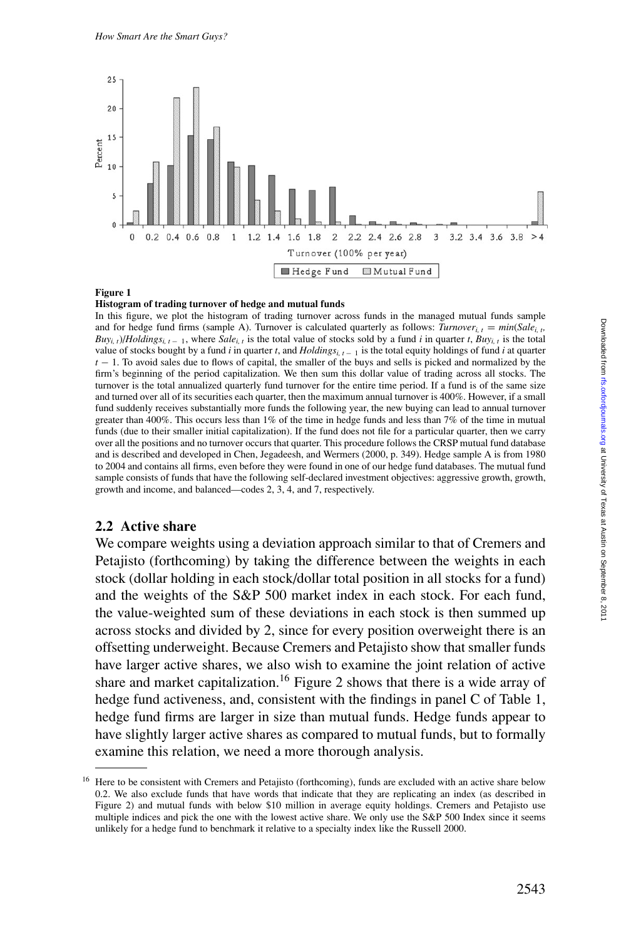

### **Figure 1**

**Histogram of trading turnover of hedge and mutual funds**

In this figure, we plot the histogram of trading turnover across funds in the managed mutual funds sample and for hedge fund firms (sample A). Turnover is calculated quarterly as follows:  $Turnover_{i,t} = min(Sale_{i,t}$ ,  $Buy_{i,t}$ )/*Holdings<sub>i, t</sub>* − 1, where  $Sale_{i,t}$  is the total value of stocks sold by a fund *i* in quarter *t*,  $Buy_{i,t}$  is the total value of stocks bought by a fund *i* in quarter *t*, and *Holdingsi, t* <sup>−</sup> <sup>1</sup> is the total equity holdings of fund *i* at quarter *t* − 1. To avoid sales due to flows of capital, the smaller of the buys and sells is picked and normalized by the firm's beginning of the period capitalization. We then sum this dollar value of trading across all stocks. The turnover is the total annualized quarterly fund turnover for the entire time period. If a fund is of the same size and turned over all of its securities each quarter, then the maximum annual turnover is 400%. However, if a small fund suddenly receives substantially more funds the following year, the new buying can lead to annual turnover greater than 400%. This occurs less than 1% of the time in hedge funds and less than 7% of the time in mutual funds (due to their smaller initial capitalization). If the fund does not file for a particular quarter, then we carry over all the positions and no turnover occurs that quarter. This procedure follows the CRSP mutual fund database and is described and developed in Chen, Jegadeesh, and Wermers (2000, p. 349). Hedge sample A is from 1980 to 2004 and contains all firms, even before they were found in one of our hedge fund databases. The mutual fund sample consists of funds that have the following self-declared investment objectives: aggressive growth, growth, growth and income, and balanced—codes 2, 3, 4, and 7, respectively.

### **2.2 Active share**

We compare weights using a deviation approach similar to that of Cremers and Petajisto (forthcoming) by taking the difference between the weights in each stock (dollar holding in each stock/dollar total position in all stocks for a fund) and the weights of the S&P 500 market index in each stock. For each fund, the value-weighted sum of these deviations in each stock is then summed up across stocks and divided by 2, since for every position overweight there is an offsetting underweight. Because Cremers and Petajisto show that smaller funds have larger active shares, we also wish to examine the joint relation of active share and market capitalization.<sup>16</sup> Figure 2 shows that there is a wide array of hedge fund activeness, and, consistent with the findings in panel C of Table 1, hedge fund firms are larger in size than mutual funds. Hedge funds appear to have slightly larger active shares as compared to mutual funds, but to formally examine this relation, we need a more thorough analysis.

<sup>&</sup>lt;sup>16</sup> Here to be consistent with Cremers and Petajisto (forthcoming), funds are excluded with an active share below 0.2. We also exclude funds that have words that indicate that they are replicating an index (as described in Figure 2) and mutual funds with below \$10 million in average equity holdings. Cremers and Petajisto use multiple indices and pick the one with the lowest active share. We only use the S&P 500 Index since it seems unlikely for a hedge fund to benchmark it relative to a specialty index like the Russell 2000.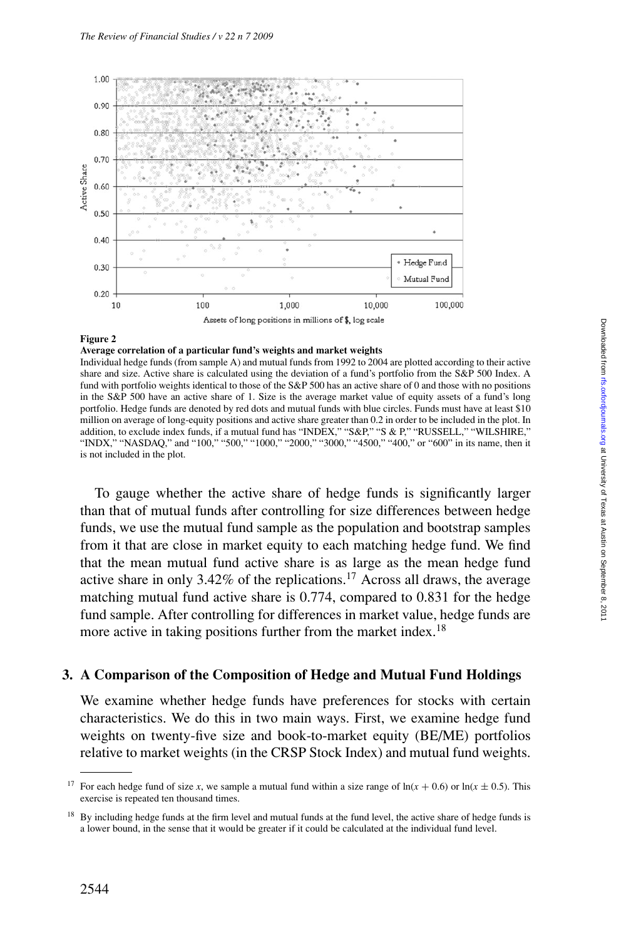

### **Figure 2**

### **Average correlation of a particular fund's weights and market weights**

Individual hedge funds (from sample A) and mutual funds from 1992 to 2004 are plotted according to their active share and size. Active share is calculated using the deviation of a fund's portfolio from the S&P 500 Index. A fund with portfolio weights identical to those of the S&P 500 has an active share of 0 and those with no positions in the S&P 500 have an active share of 1. Size is the average market value of equity assets of a fund's long portfolio. Hedge funds are denoted by red dots and mutual funds with blue circles. Funds must have at least \$10 million on average of long-equity positions and active share greater than 0.2 in order to be included in the plot. In addition, to exclude index funds, if a mutual fund has "INDEX," "S&P," "S & P," "RUSSELL," "WILSHIRE," "INDX," "NASDAQ," and "100," "500," "1000," "2000," "3000," "4500," "400," or "600" in its name, then it is not included in the plot.

To gauge whether the active share of hedge funds is significantly larger than that of mutual funds after controlling for size differences between hedge funds, we use the mutual fund sample as the population and bootstrap samples from it that are close in market equity to each matching hedge fund. We find that the mean mutual fund active share is as large as the mean hedge fund active share in only  $3.42\%$  of the replications.<sup>17</sup> Across all draws, the average matching mutual fund active share is 0.774, compared to 0.831 for the hedge fund sample. After controlling for differences in market value, hedge funds are more active in taking positions further from the market index.<sup>18</sup>

### **3. A Comparison of the Composition of Hedge and Mutual Fund Holdings**

We examine whether hedge funds have preferences for stocks with certain characteristics. We do this in two main ways. First, we examine hedge fund weights on twenty-five size and book-to-market equity (BE/ME) portfolios relative to market weights (in the CRSP Stock Index) and mutual fund weights.

<sup>&</sup>lt;sup>17</sup> For each hedge fund of size *x*, we sample a mutual fund within a size range of  $ln(x + 0.6)$  or  $ln(x \pm 0.5)$ . This exercise is repeated ten thousand times.

<sup>&</sup>lt;sup>18</sup> By including hedge funds at the firm level and mutual funds at the fund level, the active share of hedge funds is a lower bound, in the sense that it would be greater if it could be calculated at the individual fund level.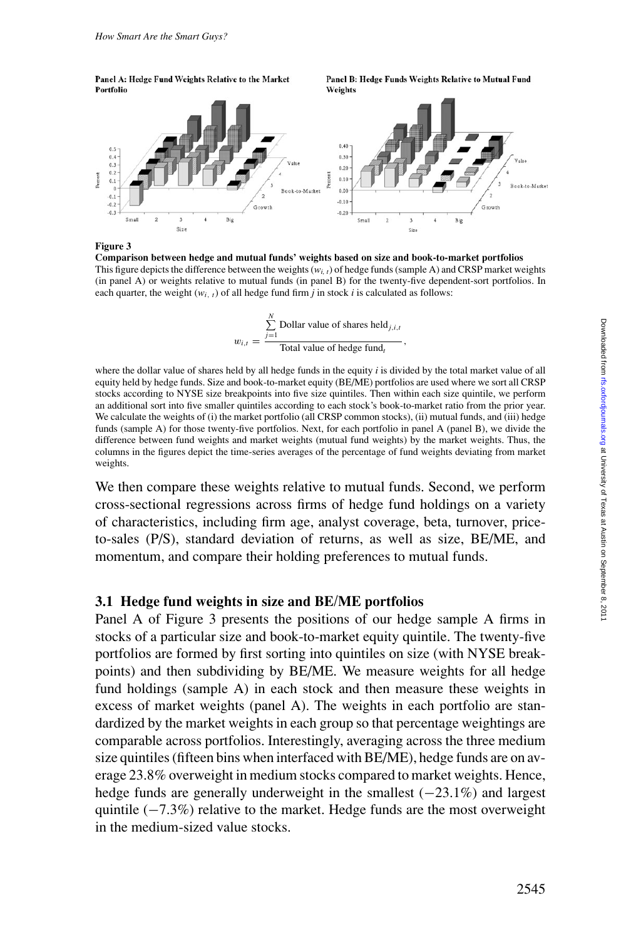



Weights

**Figure 3**

**Comparison between hedge and mutual funds' weights based on size and book-to-market portfolios** This figure depicts the difference between the weights  $(w_{i,t})$  of hedge funds (sample A) and CRSP market weights (in panel A) or weights relative to mutual funds (in panel B) for the twenty-five dependent-sort portfolios. In each quarter, the weight  $(w_{i, t})$  of all hedge fund firm *j* in stock *i* is calculated as follows:

$$
w_{i,t} = \frac{\sum_{j=1}^{N} \text{Dollar value of shares held}_{j,i,t}}{\text{Total value of hedge fund}_{t}}
$$

,

Panel B: Hedge Funds Weights Relative to Mutual Fund

where the dollar value of shares held by all hedge funds in the equity *i* is divided by the total market value of all equity held by hedge funds. Size and book-to-market equity (BE/ME) portfolios are used where we sort all CRSP stocks according to NYSE size breakpoints into five size quintiles. Then within each size quintile, we perform an additional sort into five smaller quintiles according to each stock's book-to-market ratio from the prior year. We calculate the weights of (i) the market portfolio (all CRSP common stocks), (ii) mutual funds, and (iii) hedge funds (sample A) for those twenty-five portfolios. Next, for each portfolio in panel A (panel B), we divide the difference between fund weights and market weights (mutual fund weights) by the market weights. Thus, the columns in the figures depict the time-series averages of the percentage of fund weights deviating from market weights.

We then compare these weights relative to mutual funds. Second, we perform cross-sectional regressions across firms of hedge fund holdings on a variety of characteristics, including firm age, analyst coverage, beta, turnover, priceto-sales (P/S), standard deviation of returns, as well as size, BE/ME, and momentum, and compare their holding preferences to mutual funds.

### **3.1 Hedge fund weights in size and BE/ME portfolios**

Panel A of Figure 3 presents the positions of our hedge sample A firms in stocks of a particular size and book-to-market equity quintile. The twenty-five portfolios are formed by first sorting into quintiles on size (with NYSE breakpoints) and then subdividing by BE/ME. We measure weights for all hedge fund holdings (sample A) in each stock and then measure these weights in excess of market weights (panel A). The weights in each portfolio are standardized by the market weights in each group so that percentage weightings are comparable across portfolios. Interestingly, averaging across the three medium size quintiles (fifteen bins when interfaced with BE/ME), hedge funds are on average 23.8% overweight in medium stocks compared to market weights. Hence, hedge funds are generally underweight in the smallest (−23.1%) and largest quintile  $(-7.3\%)$  relative to the market. Hedge funds are the most overweight in the medium-sized value stocks.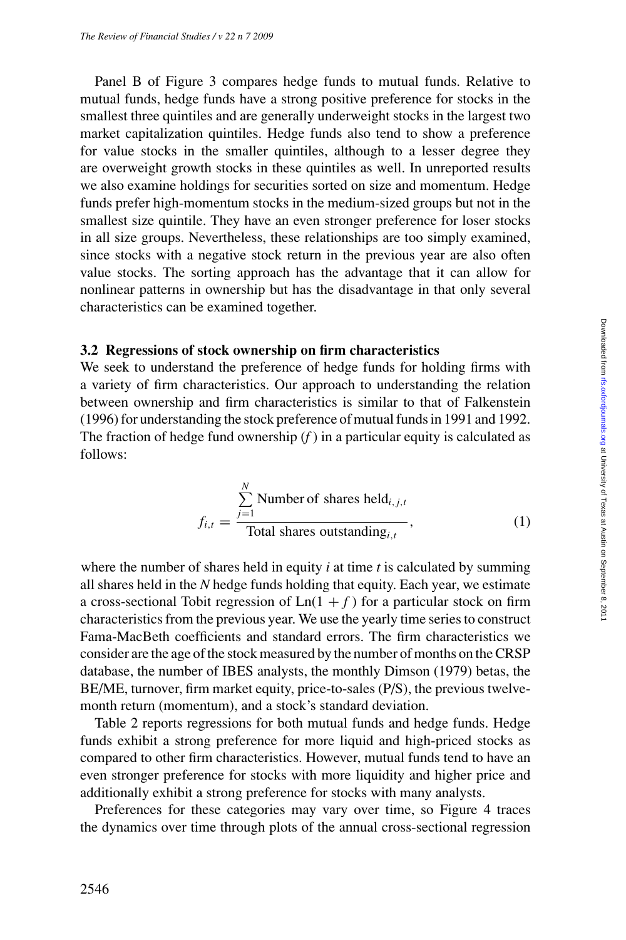Panel B of Figure 3 compares hedge funds to mutual funds. Relative to mutual funds, hedge funds have a strong positive preference for stocks in the smallest three quintiles and are generally underweight stocks in the largest two market capitalization quintiles. Hedge funds also tend to show a preference for value stocks in the smaller quintiles, although to a lesser degree they are overweight growth stocks in these quintiles as well. In unreported results we also examine holdings for securities sorted on size and momentum. Hedge funds prefer high-momentum stocks in the medium-sized groups but not in the smallest size quintile. They have an even stronger preference for loser stocks in all size groups. Nevertheless, these relationships are too simply examined, since stocks with a negative stock return in the previous year are also often value stocks. The sorting approach has the advantage that it can allow for nonlinear patterns in ownership but has the disadvantage in that only several characteristics can be examined together.

### **3.2 Regressions of stock ownership on firm characteristics**

We seek to understand the preference of hedge funds for holding firms with a variety of firm characteristics. Our approach to understanding the relation between ownership and firm characteristics is similar to that of Falkenstein (1996) for understanding the stock preference of mutual funds in 1991 and 1992. The fraction of hedge fund ownership  $(f)$  in a particular equity is calculated as follows:

$$
f_{i,t} = \frac{\sum_{j=1}^{N} \text{Number of shares held}_{i,j,t}}{\text{Total shares outstanding}_{i,t}},
$$
 (1)

where the number of shares held in equity *i* at time *t* is calculated by summing all shares held in the *N* hedge funds holding that equity. Each year, we estimate a cross-sectional Tobit regression of  $Ln(1 + f)$  for a particular stock on firm characteristics from the previous year. We use the yearly time series to construct Fama-MacBeth coefficients and standard errors. The firm characteristics we consider are the age of the stock measured by the number of months on the CRSP database, the number of IBES analysts, the monthly Dimson (1979) betas, the BE/ME, turnover, firm market equity, price-to-sales (P/S), the previous twelvemonth return (momentum), and a stock's standard deviation.

Table 2 reports regressions for both mutual funds and hedge funds. Hedge funds exhibit a strong preference for more liquid and high-priced stocks as compared to other firm characteristics. However, mutual funds tend to have an even stronger preference for stocks with more liquidity and higher price and additionally exhibit a strong preference for stocks with many analysts.

Preferences for these categories may vary over time, so Figure 4 traces the dynamics over time through plots of the annual cross-sectional regression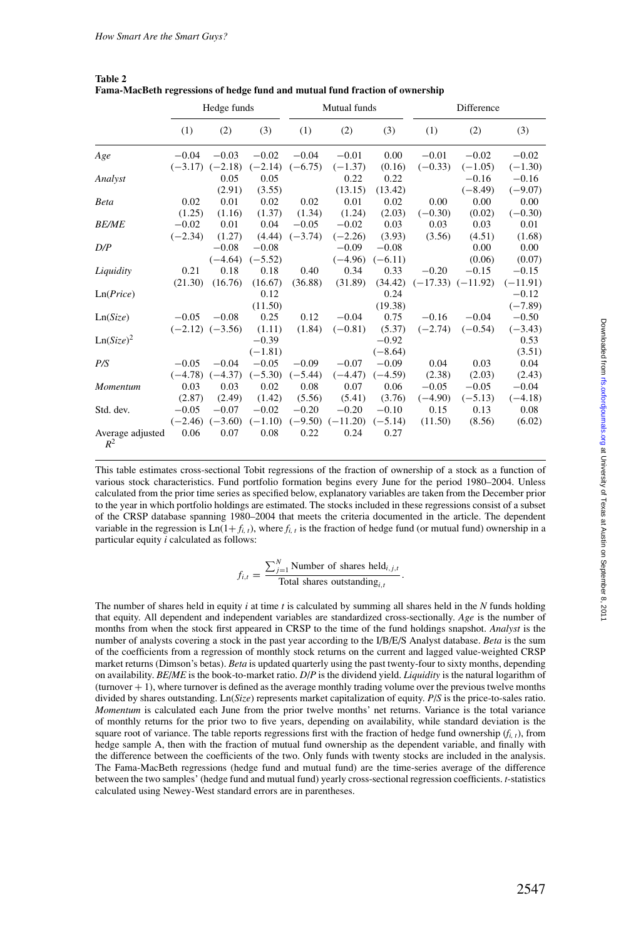|                           |           | Hedge funds         |           |           | Mutual funds                   |           |           | Difference            |            |
|---------------------------|-----------|---------------------|-----------|-----------|--------------------------------|-----------|-----------|-----------------------|------------|
|                           | (1)       | (2)                 | (3)       | (1)       | (2)                            | (3)       | (1)       | (2)                   | (3)        |
| Age                       | $-0.04$   | $-0.03$             | $-0.02$   | $-0.04$   | $-0.01$                        | 0.00      | $-0.01$   | $-0.02$               | $-0.02$    |
|                           |           | $(-3.17)$ $(-2.18)$ | $(-2.14)$ | $(-6.75)$ | $(-1.37)$                      | (0.16)    | $(-0.33)$ | $(-1.05)$             | $(-1.30)$  |
| Analyst                   |           | 0.05                | 0.05      |           | 0.22                           | 0.22      |           | $-0.16$               | $-0.16$    |
|                           |           | (2.91)              | (3.55)    |           | (13.15)                        | (13.42)   |           | $(-8.49)$             | $(-9.07)$  |
| <b>Beta</b>               | 0.02      | 0.01                | 0.02      | 0.02      | 0.01                           | 0.02      | 0.00      | 0.00                  | 0.00       |
|                           | (1.25)    | (1.16)              | (1.37)    | (1.34)    | (1.24)                         | (2.03)    | $(-0.30)$ | (0.02)                | $(-0.30)$  |
| <b>BE/ME</b>              | $-0.02$   | 0.01                | 0.04      | $-0.05$   | $-0.02$                        | 0.03      | 0.03      | 0.03                  | 0.01       |
|                           | $(-2.34)$ | (1.27)              | (4.44)    | $(-3.74)$ | $(-2.26)$                      | (3.93)    | (3.56)    | (4.51)                | (1.68)     |
| D/P                       |           | $-0.08$             | $-0.08$   |           | $-0.09$                        | $-0.08$   |           | 0.00                  | 0.00       |
|                           |           | $(-4.64)$           | $(-5.52)$ |           | $(-4.96)$                      | $(-6.11)$ |           | (0.06)                | (0.07)     |
| Liquidity                 | 0.21      | 0.18                | 0.18      | 0.40      | 0.34                           | 0.33      | $-0.20$   | $-0.15$               | $-0.15$    |
|                           | (21.30)   | (16.76)             | (16.67)   | (36.88)   | (31.89)                        | (34.42)   |           | $(-17.33)$ $(-11.92)$ | $(-11.91)$ |
| Ln(Price)                 |           |                     | 0.12      |           |                                | 0.24      |           |                       | $-0.12$    |
|                           |           |                     | (11.50)   |           |                                | (19.38)   |           |                       | $(-7.89)$  |
| Ln(Size)                  | $-0.05$   | $-0.08$             | 0.25      | 0.12      | $-0.04$                        | 0.75      | $-0.16$   | $-0.04$               | $-0.50$    |
|                           |           | $(-2.12)$ $(-3.56)$ | (1.11)    | (1.84)    | $(-0.81)$                      | (5.37)    | $(-2.74)$ | $(-0.54)$             | $(-3.43)$  |
| $Ln(Size)^2$              |           |                     | $-0.39$   |           |                                | $-0.92$   |           |                       | 0.53       |
|                           |           |                     | $(-1.81)$ |           |                                | $(-8.64)$ |           |                       | (3.51)     |
| P/S                       | $-0.05$   | $-0.04$             | $-0.05$   | $-0.09$   | $-0.07$                        | $-0.09$   | 0.04      | 0.03                  | 0.04       |
|                           |           | $(-4.78)$ $(-4.37)$ | $(-5.30)$ | $(-5.44)$ | $(-4.47)$                      | $(-4.59)$ | (2.38)    | (2.03)                | (2.43)     |
| Momentum                  | 0.03      | 0.03                | 0.02      | 0.08      | 0.07                           | 0.06      | $-0.05$   | $-0.05$               | $-0.04$    |
|                           | (2.87)    | (2.49)              | (1.42)    | (5.56)    | (5.41)                         | (3.76)    | $(-4.90)$ | $(-5.13)$             | $(-4.18)$  |
| Std. dev.                 | $-0.05$   | $-0.07$             | $-0.02$   | $-0.20$   | $-0.20$                        | $-0.10$   | 0.15      | 0.13                  | 0.08       |
|                           |           | $(-2.46)$ $(-3.60)$ | $(-1.10)$ |           | $(-9.50)$ $(-11.20)$ $(-5.14)$ |           | (11.50)   | (8.56)                | (6.02)     |
| Average adjusted<br>$R^2$ | 0.06      | 0.07                | 0.08      | 0.22      | 0.24                           | 0.27      |           |                       |            |

**Table 2 Fama-MacBeth regressions of hedge fund and mutual fund fraction of ownership**

This table estimates cross-sectional Tobit regressions of the fraction of ownership of a stock as a function of various stock characteristics. Fund portfolio formation begins every June for the period 1980–2004. Unless calculated from the prior time series as specified below, explanatory variables are taken from the December prior to the year in which portfolio holdings are estimated. The stocks included in these regressions consist of a subset of the CRSP database spanning 1980–2004 that meets the criteria documented in the article. The dependent variable in the regression is  $Ln(1+f_{i,t})$ , where  $f_{i,t}$  is the fraction of hedge fund (or mutual fund) ownership in a particular equity *i* calculated as follows:

$$
f_{i,t} = \frac{\sum_{j=1}^{N} \text{Number of shares held}_{i,j,t}}{\text{Total shares outstanding}_{i,t}}.
$$

The number of shares held in equity *i* at time *t* is calculated by summing all shares held in the *N* funds holding that equity. All dependent and independent variables are standardized cross-sectionally. *Age* is the number of months from when the stock first appeared in CRSP to the time of the fund holdings snapshot. *Analyst* is the number of analysts covering a stock in the past year according to the I/B/E/S Analyst database. *Beta* is the sum of the coefficients from a regression of monthly stock returns on the current and lagged value-weighted CRSP market returns (Dimson's betas). *Beta* is updated quarterly using the past twenty-four to sixty months, depending on availability. *BE*/*ME* is the book-to-market ratio. *D*/*P* is the dividend yield. *Liquidity* is the natural logarithm of  $P$  (turnover  $+ 1$ ), where turnover is defined as the average monthly trading volume over the previous twelve months divided by shares outstanding. Ln(*Size*) represents market capitalization of equity. *P*/*S* is the price-to-sales ratio. *Momentum* is calculated each June from the prior twelve months' net returns. Variance is the total variance of monthly returns for the prior two to five years, depending on availability, while standard deviation is the square root of variance. The table reports regressions first with the fraction of hedge fund ownership  $(f_{i,t})$ , from hedge sample A, then with the fraction of mutual fund ownership as the dependent variable, and finally with the difference between the coefficients of the two. Only funds with twenty stocks are included in the analysis. The Fama-MacBeth regressions (hedge fund and mutual fund) are the time-series average of the difference between the two samples' (hedge fund and mutual fund) yearly cross-sectional regression coefficients. *t*-statistics calculated using Newey-West standard errors are in parentheses.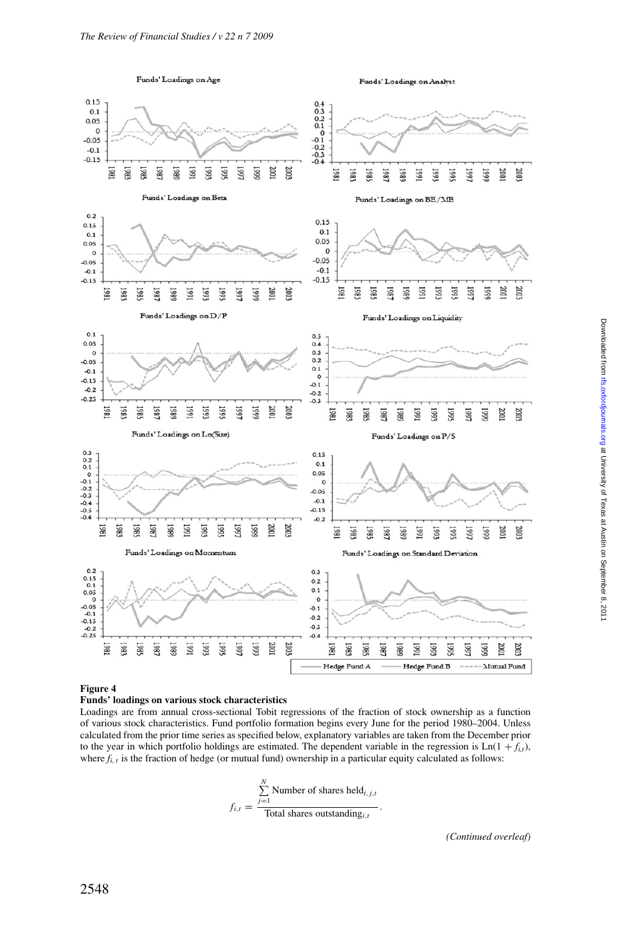

### **Figure 4**

### **Funds' loadings on various stock characteristics**

Loadings are from annual cross-sectional Tobit regressions of the fraction of stock ownership as a function of various stock characteristics. Fund portfolio formation begins every June for the period 1980–2004. Unless calculated from the prior time series as specified below, explanatory variables are taken from the December prior to the year in which portfolio holdings are estimated. The dependent variable in the regression is  $Ln(1 + f_{it})$ , where  $f_{i, t}$  is the fraction of hedge (or mutual fund) ownership in a particular equity calculated as follows:

$$
f_{i,t} = \frac{\sum_{j=1}^{N} \text{Number of shares held}_{i,j,t}}{\text{Total shares outstanding}_{i,t}}.
$$

*(Continued overleaf)*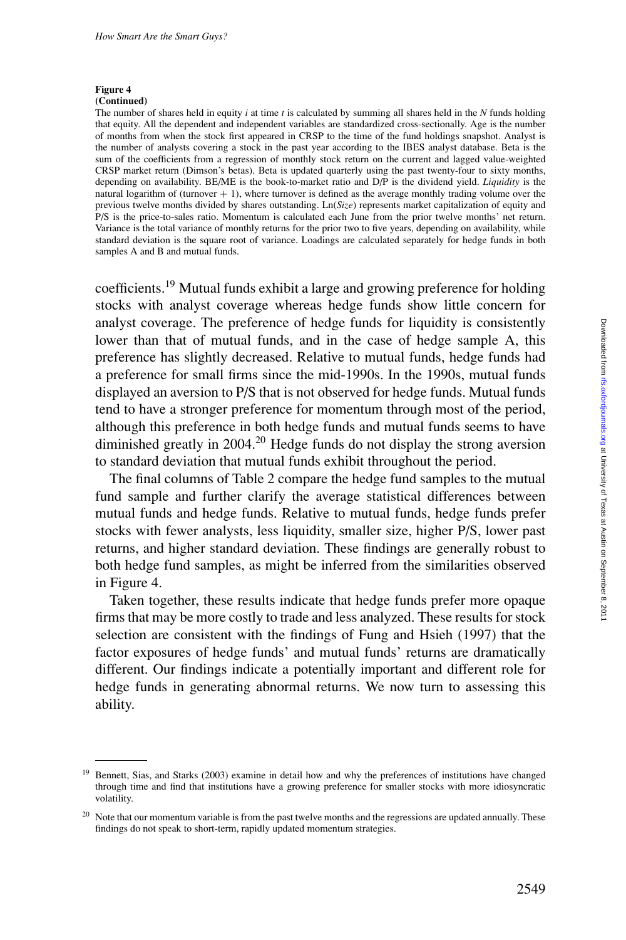### **Figure 4 (Continued)**

The number of shares held in equity *i* at time *t* is calculated by summing all shares held in the *N* funds holding that equity. All the dependent and independent variables are standardized cross-sectionally. Age is the number of months from when the stock first appeared in CRSP to the time of the fund holdings snapshot. Analyst is the number of analysts covering a stock in the past year according to the IBES analyst database. Beta is the sum of the coefficients from a regression of monthly stock return on the current and lagged value-weighted CRSP market return (Dimson's betas). Beta is updated quarterly using the past twenty-four to sixty months, depending on availability. BE/ME is the book-to-market ratio and D/P is the dividend yield. *Liquidity* is the natural logarithm of (turnover  $+ 1$ ), where turnover is defined as the average monthly trading volume over the previous twelve months divided by shares outstanding. Ln(*Size*) represents market capitalization of equity and P/S is the price-to-sales ratio. Momentum is calculated each June from the prior twelve months' net return. Variance is the total variance of monthly returns for the prior two to five years, depending on availability, while standard deviation is the square root of variance. Loadings are calculated separately for hedge funds in both samples A and B and mutual funds.

coefficients.19 Mutual funds exhibit a large and growing preference for holding stocks with analyst coverage whereas hedge funds show little concern for analyst coverage. The preference of hedge funds for liquidity is consistently lower than that of mutual funds, and in the case of hedge sample A, this preference has slightly decreased. Relative to mutual funds, hedge funds had a preference for small firms since the mid-1990s. In the 1990s, mutual funds displayed an aversion to P/S that is not observed for hedge funds. Mutual funds tend to have a stronger preference for momentum through most of the period, although this preference in both hedge funds and mutual funds seems to have diminished greatly in 2004.<sup>20</sup> Hedge funds do not display the strong aversion to standard deviation that mutual funds exhibit throughout the period.

The final columns of Table 2 compare the hedge fund samples to the mutual fund sample and further clarify the average statistical differences between mutual funds and hedge funds. Relative to mutual funds, hedge funds prefer stocks with fewer analysts, less liquidity, smaller size, higher P/S, lower past returns, and higher standard deviation. These findings are generally robust to both hedge fund samples, as might be inferred from the similarities observed in Figure 4.

Taken together, these results indicate that hedge funds prefer more opaque firms that may be more costly to trade and less analyzed. These results for stock selection are consistent with the findings of Fung and Hsieh (1997) that the factor exposures of hedge funds' and mutual funds' returns are dramatically different. Our findings indicate a potentially important and different role for hedge funds in generating abnormal returns. We now turn to assessing this ability.

<sup>&</sup>lt;sup>19</sup> Bennett, Sias, and Starks (2003) examine in detail how and why the preferences of institutions have changed through time and find that institutions have a growing preference for smaller stocks with more idiosyncratic volatility.

<sup>&</sup>lt;sup>20</sup> Note that our momentum variable is from the past twelve months and the regressions are updated annually. These findings do not speak to short-term, rapidly updated momentum strategies.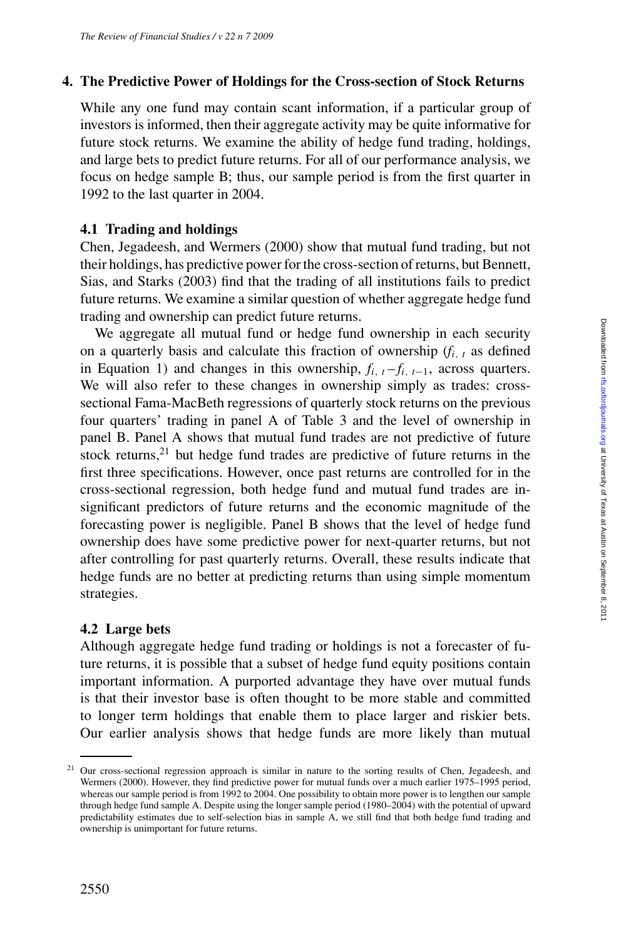## **4. The Predictive Power of Holdings for the Cross-section of Stock Returns**

While any one fund may contain scant information, if a particular group of investors is informed, then their aggregate activity may be quite informative for future stock returns. We examine the ability of hedge fund trading, holdings, and large bets to predict future returns. For all of our performance analysis, we focus on hedge sample B; thus, our sample period is from the first quarter in 1992 to the last quarter in 2004.

## **4.1 Trading and holdings**

Chen, Jegadeesh, and Wermers (2000) show that mutual fund trading, but not their holdings, has predictive power for the cross-section of returns, but Bennett, Sias, and Starks (2003) find that the trading of all institutions fails to predict future returns. We examine a similar question of whether aggregate hedge fund trading and ownership can predict future returns.

We aggregate all mutual fund or hedge fund ownership in each security on a quarterly basis and calculate this fraction of ownership  $(f_{i,t}$  as defined in Equation 1) and changes in this ownership,  $f_i$ ,  $t-f_i$ ,  $t-1$ , across quarters. We will also refer to these changes in ownership simply as trades: crosssectional Fama-MacBeth regressions of quarterly stock returns on the previous four quarters' trading in panel A of Table 3 and the level of ownership in panel B. Panel A shows that mutual fund trades are not predictive of future stock returns,<sup>21</sup> but hedge fund trades are predictive of future returns in the first three specifications. However, once past returns are controlled for in the cross-sectional regression, both hedge fund and mutual fund trades are insignificant predictors of future returns and the economic magnitude of the forecasting power is negligible. Panel B shows that the level of hedge fund ownership does have some predictive power for next-quarter returns, but not after controlling for past quarterly returns. Overall, these results indicate that hedge funds are no better at predicting returns than using simple momentum strategies.

## **4.2 Large bets**

Although aggregate hedge fund trading or holdings is not a forecaster of future returns, it is possible that a subset of hedge fund equity positions contain important information. A purported advantage they have over mutual funds is that their investor base is often thought to be more stable and committed to longer term holdings that enable them to place larger and riskier bets. Our earlier analysis shows that hedge funds are more likely than mutual

<sup>21</sup> Our cross-sectional regression approach is similar in nature to the sorting results of Chen, Jegadeesh, and Wermers (2000). However, they find predictive power for mutual funds over a much earlier 1975–1995 period, whereas our sample period is from 1992 to 2004. One possibility to obtain more power is to lengthen our sample through hedge fund sample A. Despite using the longer sample period (1980–2004) with the potential of upward predictability estimates due to self-selection bias in sample A, we still find that both hedge fund trading and ownership is unimportant for future returns.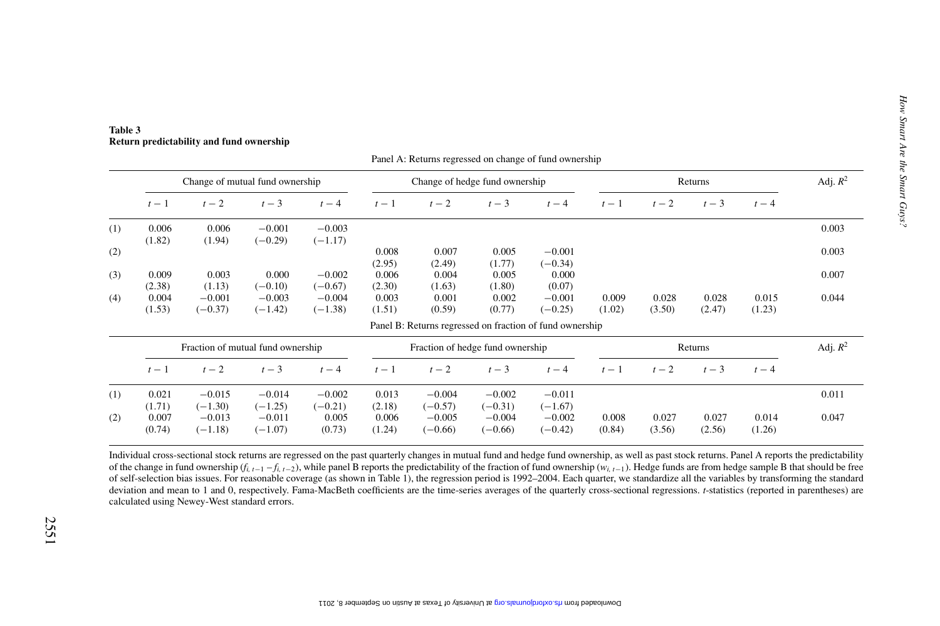| $t-1$<br>0.006<br>(1.82) | Change of mutual fund ownership<br>$t-2$<br>0.006<br>(1.94) | $t-3$<br>$-0.001$<br>$(-0.29)$ | $t-4$<br>$-0.003$<br>$(-1.17)$ | $t-1$                                                | $t-2$           | Change of hedge fund ownership<br>$t-3$ | $t-4$                 | $t-1$                                                     | $t-2$                                                                       | Returns<br>$t-3$ | $t-4$                      | Adj. $R^2$      |
|--------------------------|-------------------------------------------------------------|--------------------------------|--------------------------------|------------------------------------------------------|-----------------|-----------------------------------------|-----------------------|-----------------------------------------------------------|-----------------------------------------------------------------------------|------------------|----------------------------|-----------------|
|                          |                                                             |                                |                                |                                                      |                 |                                         |                       |                                                           |                                                                             |                  |                            |                 |
|                          |                                                             |                                |                                |                                                      |                 |                                         |                       |                                                           |                                                                             |                  |                            |                 |
|                          |                                                             |                                |                                |                                                      |                 |                                         |                       |                                                           |                                                                             |                  |                            | 0.003           |
|                          |                                                             |                                |                                | 0.008                                                | 0.007           | 0.005                                   | $-0.001$              |                                                           |                                                                             |                  |                            | 0.003           |
|                          |                                                             |                                |                                | (2.95)                                               | (2.49)          | (1.77)                                  | $(-0.34)$             |                                                           |                                                                             |                  |                            |                 |
| 0.009                    | 0.003                                                       | 0.000                          | $-0.002$                       | 0.006                                                | 0.004           | 0.005                                   | 0.000                 |                                                           |                                                                             |                  |                            | 0.007           |
| (2.38)                   | (1.13)                                                      | $(-0.10)$                      | $(-0.67)$                      | (2.30)                                               | (1.63)          | (1.80)                                  | (0.07)                |                                                           |                                                                             |                  |                            |                 |
| 0.004                    | $-0.001$                                                    | $-0.003$                       | $-0.004$                       | 0.003                                                | 0.001           | 0.002                                   | $-0.001$              | 0.009                                                     | 0.028                                                                       | 0.028            | 0.015                      | 0.044           |
| (1.53)                   | $(-0.37)$                                                   | $(-1.42)$                      | $(-1.38)$                      | (1.51)                                               | (0.59)          | (0.77)                                  | $(-0.25)$             | (1.02)                                                    | (3.50)                                                                      | (2.47)           | (1.23)                     |                 |
|                          |                                                             |                                |                                |                                                      |                 |                                         |                       |                                                           |                                                                             |                  |                            |                 |
|                          |                                                             |                                |                                |                                                      |                 |                                         |                       |                                                           |                                                                             |                  |                            | Adj. $R^2$      |
| $t-1$                    | $t-2$                                                       | $t-3$                          | $t-4$                          | $t-1$                                                | $t-2$           | $t-3$                                   | $t-4$                 | $t-1$                                                     | $t-2$                                                                       | $t-3$            | $t-4$                      |                 |
| 0.021                    | $-0.015$                                                    | $-0.014$                       | $-0.002$                       | 0.013                                                | $-0.004$        | $-0.002$                                | $-0.011$              |                                                           |                                                                             |                  |                            | 0.011           |
| (1.71)                   | $(-1.30)$                                                   | $(-1.25)$                      | $(-0.21)$                      | (2.18)                                               | $(-0.57)$       | $(-0.31)$                               | $(-1.67)$             |                                                           |                                                                             |                  |                            |                 |
|                          |                                                             |                                |                                |                                                      |                 |                                         |                       |                                                           |                                                                             |                  |                            | 0.047           |
|                          | 0.007<br>(0.74)                                             | $-0.013$<br>$(-1.18)$          | $-0.011$<br>$(-1.07)$          | Fraction of mutual fund ownership<br>0.005<br>(0.73) | 0.006<br>(1.24) | $-0.005$<br>$(-0.66)$                   | $-0.004$<br>$(-0.66)$ | Fraction of hedge fund ownership<br>$-0.002$<br>$(-0.42)$ | Panel B: Returns regressed on fraction of fund ownership<br>0.008<br>(0.84) | 0.027<br>(3.56)  | Returns<br>0.027<br>(2.56) | 0.014<br>(1.26) |

Individual cross-sectional stock returns are regressed on the pas<sup>t</sup> quarterly changes in mutual fund and hedge fund ownership, as well as pas<sup>t</sup> stock returns. Panel A reports the predictability of the change in fund ownership  $(f_{i,t-1}-f_{i,t-2})$ , while panel B reports the predictability of the fraction of fund ownership  $(w_{i,t-1})$ . Hedge funds are from hedge sample B that should be free of self-selection bias issues. For reasonable coverage (as shown in Table 1), the regression period is 1992–2004. Each quarter, we standardize all the variables by transforming the standard deviation and mean to 1 and 0, respectively. Fama-MacBeth coefficients are the time-series averages of the quarterly cross-sectional regressions. *t*-statistics (reported in parentheses) are calculated using Newey-West standard errors.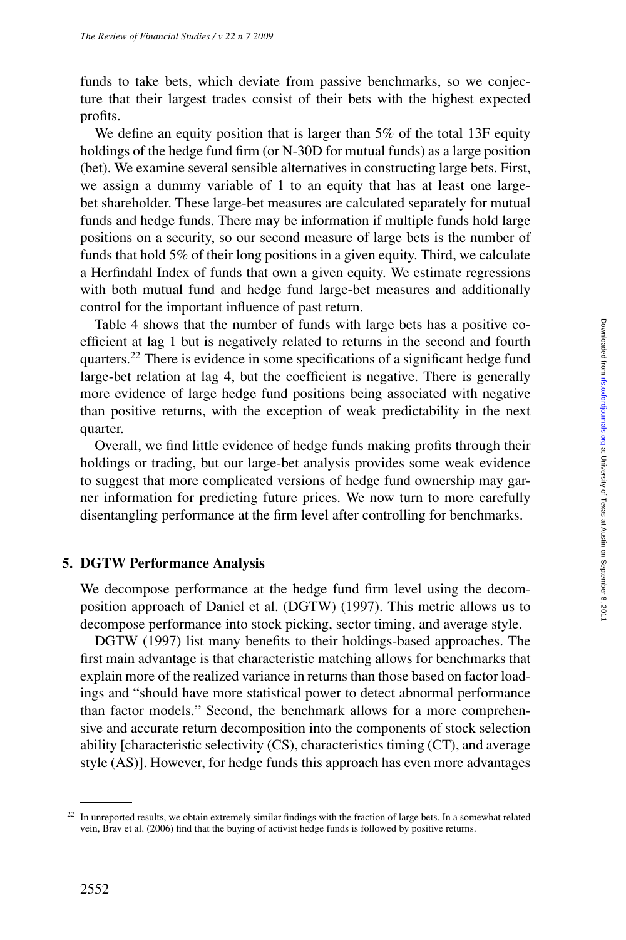funds to take bets, which deviate from passive benchmarks, so we conjecture that their largest trades consist of their bets with the highest expected profits.

We define an equity position that is larger than 5% of the total 13F equity holdings of the hedge fund firm (or N-30D for mutual funds) as a large position (bet). We examine several sensible alternatives in constructing large bets. First, we assign a dummy variable of 1 to an equity that has at least one largebet shareholder. These large-bet measures are calculated separately for mutual funds and hedge funds. There may be information if multiple funds hold large positions on a security, so our second measure of large bets is the number of funds that hold 5% of their long positions in a given equity. Third, we calculate a Herfindahl Index of funds that own a given equity. We estimate regressions with both mutual fund and hedge fund large-bet measures and additionally control for the important influence of past return.

Table 4 shows that the number of funds with large bets has a positive coefficient at lag 1 but is negatively related to returns in the second and fourth quarters.<sup>22</sup> There is evidence in some specifications of a significant hedge fund large-bet relation at lag 4, but the coefficient is negative. There is generally more evidence of large hedge fund positions being associated with negative than positive returns, with the exception of weak predictability in the next quarter.

Overall, we find little evidence of hedge funds making profits through their holdings or trading, but our large-bet analysis provides some weak evidence to suggest that more complicated versions of hedge fund ownership may garner information for predicting future prices. We now turn to more carefully disentangling performance at the firm level after controlling for benchmarks.

## **5. DGTW Performance Analysis**

We decompose performance at the hedge fund firm level using the decomposition approach of Daniel et al. (DGTW) (1997). This metric allows us to decompose performance into stock picking, sector timing, and average style.

DGTW (1997) list many benefits to their holdings-based approaches. The first main advantage is that characteristic matching allows for benchmarks that explain more of the realized variance in returns than those based on factor loadings and "should have more statistical power to detect abnormal performance than factor models." Second, the benchmark allows for a more comprehensive and accurate return decomposition into the components of stock selection ability [characteristic selectivity (CS), characteristics timing (CT), and average style (AS)]. However, for hedge funds this approach has even more advantages

<sup>&</sup>lt;sup>22</sup> In unreported results, we obtain extremely similar findings with the fraction of large bets. In a somewhat related vein, Brav et al. (2006) find that the buying of activist hedge funds is followed by positive returns.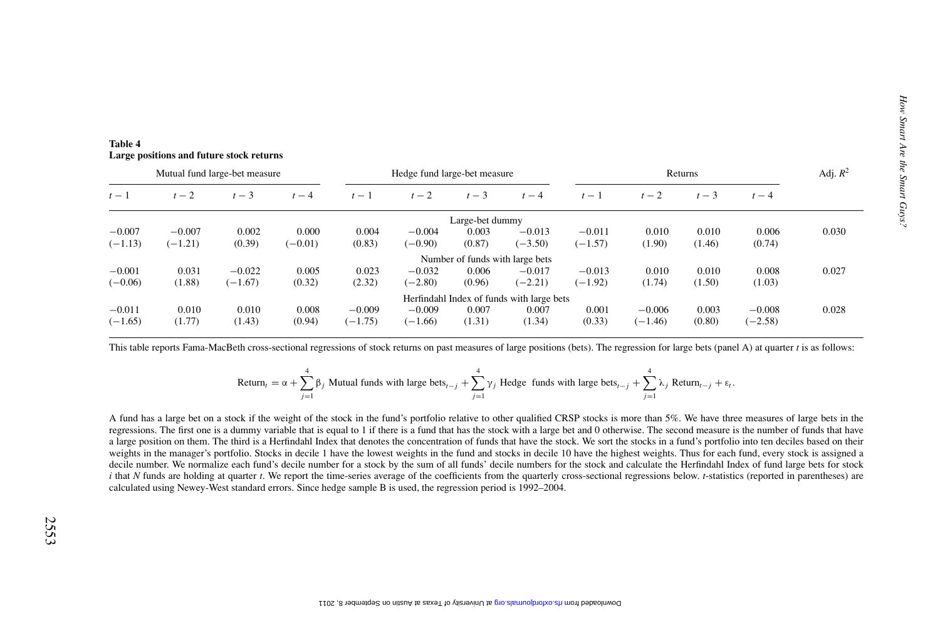| Table 4   |           | Large positions and future stock returns |           |           |                              |                 |                                           |           |           |         |           |            |
|-----------|-----------|------------------------------------------|-----------|-----------|------------------------------|-----------------|-------------------------------------------|-----------|-----------|---------|-----------|------------|
|           |           | Mutual fund large-bet measure            |           |           | Hedge fund large-bet measure |                 |                                           |           |           | Returns |           | Adj. $R^2$ |
| $t-1$     | $t-2$     | $t-3$                                    | $t-4$     | $t-1$     | $t-2$                        | $t-3$           | $t-4$                                     | $t-1$     | $t-2$     | $t-3$   | $t-4$     |            |
|           |           |                                          |           |           |                              | Large-bet dummy |                                           |           |           |         |           |            |
| $-0.007$  | $-0.007$  | 0.002                                    | 0.000     | 0.004     | $-0.004$                     | 0.003           | $-0.013$                                  | $-0.011$  | 0.010     | 0.010   | 0.006     | 0.030      |
| $(-1.13)$ | $(-1.21)$ | (0.39)                                   | $(-0.01)$ | (0.83)    | $(-0.90)$                    | (0.87)          | $(-3.50)$                                 | $(-1.57)$ | (1.90)    | (1.46)  | (0.74)    |            |
|           |           |                                          |           |           |                              |                 | Number of funds with large bets           |           |           |         |           |            |
| $-0.001$  | 0.031     | $-0.022$                                 | 0.005     | 0.023     | $-0.032$                     | 0.006           | $-0.017$                                  | $-0.013$  | 0.010     | 0.010   | 0.008     | 0.027      |
| $(-0.06)$ | (1.88)    | $(-1.67)$                                | (0.32)    | (2.32)    | $(-2.80)$                    | (0.96)          | $(-2.21)$                                 | $(-1.92)$ | (1.74)    | (1.50)  | (1.03)    |            |
|           |           |                                          |           |           |                              |                 | Herfindahl Index of funds with large bets |           |           |         |           |            |
| $-0.011$  | 0.010     | 0.010                                    | 0.008     | $-0.009$  | $-0.009$                     | 0.007           | 0.007                                     | 0.001     | $-0.006$  | 0.003   | $-0.008$  | 0.028      |
| $(-1.65)$ | (1.77)    | (1.43)                                   | (0.94)    | $(-1.75)$ | $(-1.66)$                    | (1.31)          | (1.34)                                    | (0.33)    | $(-1.46)$ | (0.80)  | $(-2.58)$ |            |

This table reports Fama-MacBeth cross-sectional regressions of stock returns on pas<sup>t</sup> measures of large positions (bets). The regression for large bets (panel A) at quarter *<sup>t</sup>* is as follows:

$$
\text{Return}_{t} = \alpha + \sum_{j=1}^{4} \beta_{j} \text{ Mutual funds with large bets}_{t-j} + \sum_{j=1}^{4} \gamma_{j} \text{ Hedge funds with large bets}_{t-j} + \sum_{j=1}^{4} \lambda_{j} \text{Return}_{t-j} + \varepsilon_{t}.
$$

A fund has a large bet on a stock if the weight of the stock in the fund's portfolio relative to other qualified CRSP stocks is more than 5%. We have three measures of large bets in the regressions. The first one is <sup>a</sup> dummy variable that is equal to 1 if there is <sup>a</sup> fund that has the stock with <sup>a</sup> large bet and 0 otherwise. The second measure is the number of funds that have a large position on them. The third is a Herfindahl Index that denotes the concentration of funds that have the stock. We sort the stocks in a fund's portfolio into ten deciles based on their weights in the manager's portfolio. Stocks in decile 1 have the lowest weights in the fund and stocks in decile 10 have the highest weights. Thus for each fund, every stock is assigned a decile number. We normalize each fund's decile number for a stock by the sum of all funds' decile numbers for the stock and calculate the Herfindahl Index of fund large bets for stock *i* that *N* funds are holding at quarter *t*. We report the time-series average of the coefficients from the quarterly cross-sectional regressions below. *t*-statistics (reported in parentheses) are calculated using Newey-West standard errors. Since hedge sample B is used, the regression period is 1992–2004.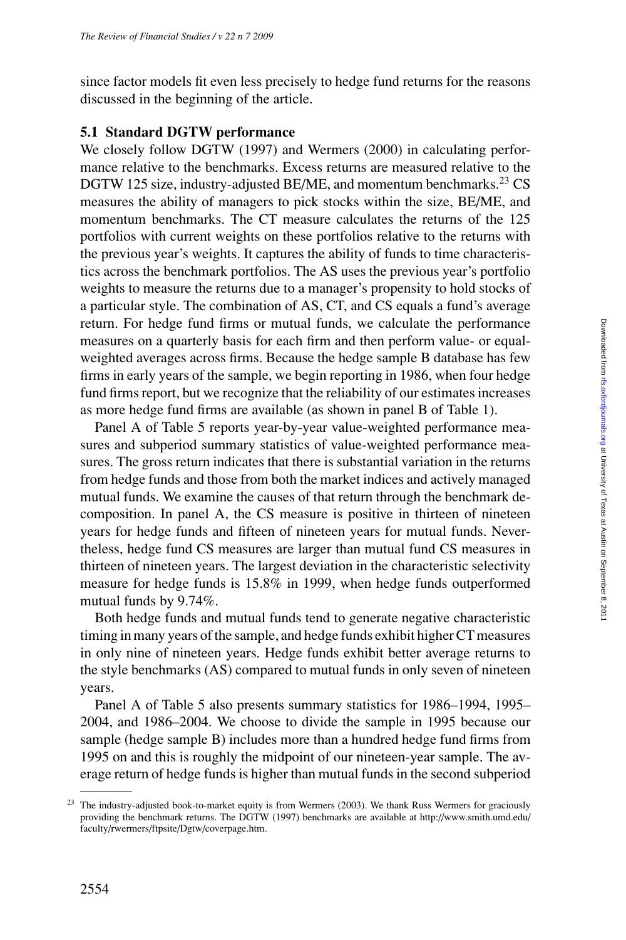since factor models fit even less precisely to hedge fund returns for the reasons discussed in the beginning of the article.

## **5.1 Standard DGTW performance**

We closely follow DGTW (1997) and Wermers (2000) in calculating performance relative to the benchmarks. Excess returns are measured relative to the DGTW 125 size, industry-adjusted BE/ME, and momentum benchmarks.<sup>23</sup> CS measures the ability of managers to pick stocks within the size, BE/ME, and momentum benchmarks. The CT measure calculates the returns of the 125 portfolios with current weights on these portfolios relative to the returns with the previous year's weights. It captures the ability of funds to time characteristics across the benchmark portfolios. The AS uses the previous year's portfolio weights to measure the returns due to a manager's propensity to hold stocks of a particular style. The combination of AS, CT, and CS equals a fund's average return. For hedge fund firms or mutual funds, we calculate the performance measures on a quarterly basis for each firm and then perform value- or equalweighted averages across firms. Because the hedge sample B database has few firms in early years of the sample, we begin reporting in 1986, when four hedge fund firms report, but we recognize that the reliability of our estimates increases as more hedge fund firms are available (as shown in panel B of Table 1).

Panel A of Table 5 reports year-by-year value-weighted performance measures and subperiod summary statistics of value-weighted performance measures. The gross return indicates that there is substantial variation in the returns from hedge funds and those from both the market indices and actively managed mutual funds. We examine the causes of that return through the benchmark decomposition. In panel A, the CS measure is positive in thirteen of nineteen years for hedge funds and fifteen of nineteen years for mutual funds. Nevertheless, hedge fund CS measures are larger than mutual fund CS measures in thirteen of nineteen years. The largest deviation in the characteristic selectivity measure for hedge funds is 15.8% in 1999, when hedge funds outperformed mutual funds by 9.74%.

Both hedge funds and mutual funds tend to generate negative characteristic timing in many years of the sample, and hedge funds exhibit higher CT measures in only nine of nineteen years. Hedge funds exhibit better average returns to the style benchmarks (AS) compared to mutual funds in only seven of nineteen years.

Panel A of Table 5 also presents summary statistics for 1986–1994, 1995– 2004, and 1986–2004. We choose to divide the sample in 1995 because our sample (hedge sample B) includes more than a hundred hedge fund firms from 1995 on and this is roughly the midpoint of our nineteen-year sample. The average return of hedge funds is higher than mutual funds in the second subperiod

<sup>&</sup>lt;sup>23</sup> The industry-adjusted book-to-market equity is from Wermers (2003). We thank Russ Wermers for graciously providing the benchmark returns. The DGTW (1997) benchmarks are available at http://www.smith.umd.edu/ faculty/rwermers/ftpsite/Dgtw/coverpage.htm.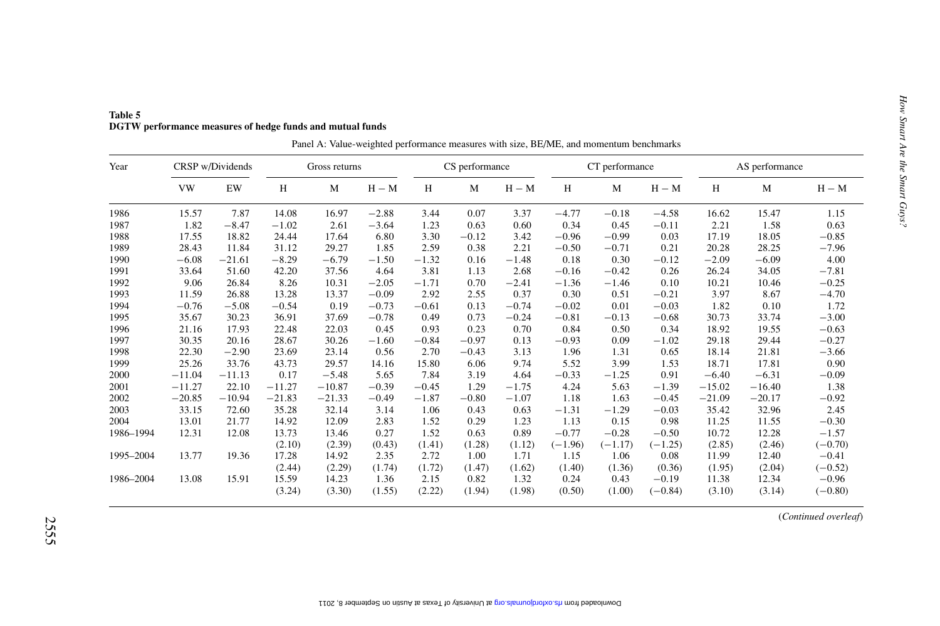|           |           |                  |          | Panel A: Value-weighted performance measures with size, BE/ME, and momentum benchmarks |         |         |                |         |           |                |           |          |                |           |
|-----------|-----------|------------------|----------|----------------------------------------------------------------------------------------|---------|---------|----------------|---------|-----------|----------------|-----------|----------|----------------|-----------|
| Year      |           | CRSP w/Dividends |          | Gross returns                                                                          |         |         | CS performance |         |           | CT performance |           |          | AS performance |           |
|           | <b>VW</b> | EW               | H        | М                                                                                      | $H - M$ | Н       | M              | $H - M$ | H         | M              | $H - M$   | H        | M              | $H - M$   |
| 1986      | 15.57     | 7.87             | 14.08    | 16.97                                                                                  | $-2.88$ | 3.44    | 0.07           | 3.37    | $-4.77$   | $-0.18$        | $-4.58$   | 16.62    | 15.47          | 1.15      |
| 1987      | 1.82      | $-8.47$          | $-1.02$  | 2.61                                                                                   | $-3.64$ | 1.23    | 0.63           | 0.60    | 0.34      | 0.45           | $-0.11$   | 2.21     | 1.58           | 0.63      |
| 1988      | 17.55     | 18.82            | 24.44    | 17.64                                                                                  | 6.80    | 3.30    | $-0.12$        | 3.42    | $-0.96$   | $-0.99$        | 0.03      | 17.19    | 18.05          | $-0.85$   |
| 1989      | 28.43     | 11.84            | 31.12    | 29.27                                                                                  | 1.85    | 2.59    | 0.38           | 2.21    | $-0.50$   | $-0.71$        | 0.21      | 20.28    | 28.25          | $-7.96$   |
| 1990      | $-6.08$   | $-21.61$         | $-8.29$  | $-6.79$                                                                                | $-1.50$ | $-1.32$ | 0.16           | $-1.48$ | 0.18      | 0.30           | $-0.12$   | $-2.09$  | $-6.09$        | 4.00      |
| 1991      | 33.64     | 51.60            | 42.20    | 37.56                                                                                  | 4.64    | 3.81    | 1.13           | 2.68    | $-0.16$   | $-0.42$        | 0.26      | 26.24    | 34.05          | $-7.81$   |
| 1992      | 9.06      | 26.84            | 8.26     | 10.31                                                                                  | $-2.05$ | $-1.71$ | 0.70           | $-2.41$ | $-1.36$   | $-1.46$        | 0.10      | 10.21    | 10.46          | $-0.25$   |
| 1993      | 11.59     | 26.88            | 13.28    | 13.37                                                                                  | $-0.09$ | 2.92    | 2.55           | 0.37    | 0.30      | 0.51           | $-0.21$   | 3.97     | 8.67           | $-4.70$   |
| 1994      | $-0.76$   | $-5.08$          | $-0.54$  | 0.19                                                                                   | $-0.73$ | $-0.61$ | 0.13           | $-0.74$ | $-0.02$   | 0.01           | $-0.03$   | 1.82     | 0.10           | 1.72      |
| 1995      | 35.67     | 30.23            | 36.91    | 37.69                                                                                  | $-0.78$ | 0.49    | 0.73           | $-0.24$ | $-0.81$   | $-0.13$        | $-0.68$   | 30.73    | 33.74          | $-3.00$   |
| 1996      | 21.16     | 17.93            | 22.48    | 22.03                                                                                  | 0.45    | 0.93    | 0.23           | 0.70    | 0.84      | 0.50           | 0.34      | 18.92    | 19.55          | $-0.63$   |
| 1997      | 30.35     | 20.16            | 28.67    | 30.26                                                                                  | $-1.60$ | $-0.84$ | $-0.97$        | 0.13    | $-0.93$   | 0.09           | $-1.02$   | 29.18    | 29.44          | $-0.27$   |
| 1998      | 22.30     | $-2.90$          | 23.69    | 23.14                                                                                  | 0.56    | 2.70    | $-0.43$        | 3.13    | 1.96      | 1.31           | 0.65      | 18.14    | 21.81          | $-3.66$   |
| 1999      | 25.26     | 33.76            | 43.73    | 29.57                                                                                  | 14.16   | 15.80   | 6.06           | 9.74    | 5.52      | 3.99           | 1.53      | 18.71    | 17.81          | 0.90      |
| 2000      | $-11.04$  | $-11.13$         | 0.17     | $-5.48$                                                                                | 5.65    | 7.84    | 3.19           | 4.64    | $-0.33$   | $-1.25$        | 0.91      | $-6.40$  | $-6.31$        | $-0.09$   |
| 2001      | $-11.27$  | 22.10            | $-11.27$ | $-10.87$                                                                               | $-0.39$ | $-0.45$ | 1.29           | $-1.75$ | 4.24      | 5.63           | $-1.39$   | $-15.02$ | $-16.40$       | 1.38      |
| 2002      | $-20.85$  | $-10.94$         | $-21.83$ | $-21.33$                                                                               | $-0.49$ | $-1.87$ | $-0.80$        | $-1.07$ | 1.18      | 1.63           | $-0.45$   | $-21.09$ | $-20.17$       | $-0.92$   |
| 2003      | 33.15     | 72.60            | 35.28    | 32.14                                                                                  | 3.14    | 1.06    | 0.43           | 0.63    | $-1.31$   | $-1.29$        | $-0.03$   | 35.42    | 32.96          | 2.45      |
| 2004      | 13.01     | 21.77            | 14.92    | 12.09                                                                                  | 2.83    | 1.52    | 0.29           | 1.23    | 1.13      | 0.15           | 0.98      | 11.25    | 11.55          | $-0.30$   |
| 1986-1994 | 12.31     | 12.08            | 13.73    | 13.46                                                                                  | 0.27    | 1.52    | 0.63           | 0.89    | $-0.77$   | $-0.28$        | $-0.50$   | 10.72    | 12.28          | $-1.57$   |
|           |           |                  | (2.10)   | (2.39)                                                                                 | (0.43)  | (1.41)  | (1.28)         | (1.12)  | $(-1.96)$ | $(-1.17)$      | $(-1.25)$ | (2.85)   | (2.46)         | $(-0.70)$ |
| 1995-2004 | 13.77     | 19.36            | 17.28    | 14.92                                                                                  | 2.35    | 2.72    | 1.00           | 1.71    | 1.15      | 1.06           | 0.08      | 11.99    | 12.40          | $-0.41$   |
|           |           |                  | (2.44)   | (2.29)                                                                                 | (1.74)  | (1.72)  | (1.47)         | (1.62)  | (1.40)    | (1.36)         | (0.36)    | (1.95)   | (2.04)         | $(-0.52)$ |
| 1986-2004 | 13.08     | 15.91            | 15.59    | 14.23                                                                                  | 1.36    | 2.15    | 0.82           | 1.32    | 0.24      | 0.43           | $-0.19$   | 11.38    | 12.34          | $-0.96$   |
|           |           |                  | (3.24)   | (3.30)                                                                                 | (1.55)  | (2.22)  | (1.94)         | (1.98)  | (0.50)    | (1.00)         | $(-0.84)$ | (3.10)   | (3.14)         | $(-0.80)$ |

2555 (*Continued overleaf*)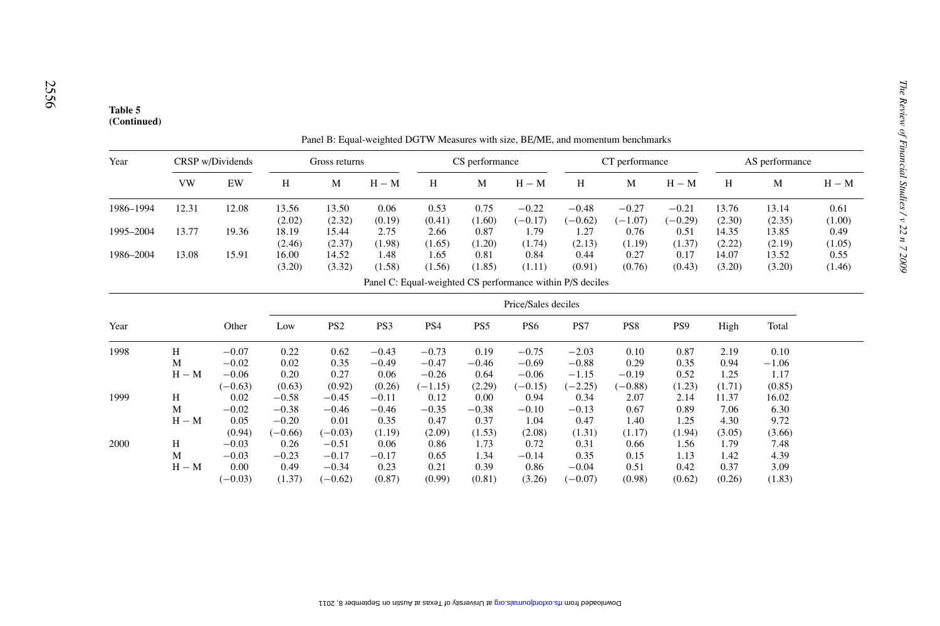| Table 5<br>(Continued) |           |                  |                 |                 | Panel B: Equal-weighted DGTW Measures with size, BE/ME, and momentum benchmarks |                |                |                      |                                                           |                      |                      |                 |                 |                |
|------------------------|-----------|------------------|-----------------|-----------------|---------------------------------------------------------------------------------|----------------|----------------|----------------------|-----------------------------------------------------------|----------------------|----------------------|-----------------|-----------------|----------------|
| Year                   |           | CRSP w/Dividends |                 | Gross returns   |                                                                                 |                | CS performance |                      |                                                           | CT performance       |                      |                 | AS performance  |                |
|                        | <b>VW</b> | EW               | H               | M               | $H - M$                                                                         | H              | M              | $H - M$              | H                                                         | M                    | $H - M$              | H               | M               | $H - M$        |
| 1986-1994              | 12.31     | 12.08            | 13.56<br>(2.02) | 13.50<br>(2.32) | 0.06<br>(0.19)                                                                  | 0.53<br>(0.41) | 0.75<br>(1.60) | $-0.22$<br>$(-0.17)$ | $-0.48$<br>$(-0.62)$                                      | $-0.27$<br>$(-1.07)$ | $-0.21$<br>$(-0.29)$ | 13.76<br>(2.30) | 13.14<br>(2.35) | 0.61<br>(1.00) |
| 1995-2004              | 13.77     | 19.36            | 18.19<br>(2.46) | 15.44<br>(2.37) | 2.75<br>(1.98)                                                                  | 2.66<br>(1.65) | 0.87<br>(1.20) | 1.79<br>(1.74)       | 1.27<br>(2.13)                                            | 0.76<br>(1.19)       | 0.51<br>(1.37)       | 14.35<br>(2.22) | 13.85<br>(2.19) | 0.49<br>(1.05) |
| 1986-2004              | 13.08     | 15.91            | 16.00<br>(3.20) | 14.52<br>(3.32) | 1.48<br>(1.58)                                                                  | 1.65<br>(1.56) | 0.81<br>(1.85) | 0.84<br>(1.11)       | 0.44<br>(0.91)                                            | 0.27<br>(0.76)       | 0.17<br>(0.43)       | 14.07<br>(3.20) | 13.52<br>(3.20) | 0.55<br>(1.46) |
|                        |           |                  |                 |                 |                                                                                 |                |                |                      | Panel C: Equal-weighted CS performance within P/S deciles |                      |                      |                 |                 |                |

|      |         |           |           |                 |         |           |         | Price/Sales deciles |           |           |                 |        |         |  |
|------|---------|-----------|-----------|-----------------|---------|-----------|---------|---------------------|-----------|-----------|-----------------|--------|---------|--|
| Year |         | Other     | Low       | PS <sub>2</sub> | PS3     | PS4       | PS5     | PS6                 | PS7       | PS8       | PS <sub>9</sub> | High   | Total   |  |
| 1998 | H       | $-0.07$   | 0.22      | 0.62            | $-0.43$ | $-0.73$   | 0.19    | $-0.75$             | $-2.03$   | 0.10      | 0.87            | 2.19   | 0.10    |  |
|      | M       | $-0.02$   | 0.02      | 0.35            | $-0.49$ | $-0.47$   | $-0.46$ | $-0.69$             | $-0.88$   | 0.29      | 0.35            | 0.94   | $-1.06$ |  |
|      | $H - M$ | $-0.06$   | 0.20      | 0.27            | 0.06    | $-0.26$   | 0.64    | $-0.06$             | $-1.15$   | $-0.19$   | 0.52            | 1.25   | 1.17    |  |
|      |         | $(-0.63)$ | (0.63)    | (0.92)          | (0.26)  | $(-1.15)$ | (2.29)  | $(-0.15)$           | $(-2.25)$ | $(-0.88)$ | (1.23)          | (1.71) | (0.85)  |  |
| 1999 | H       | 0.02      | $-0.58$   | $-0.45$         | $-0.11$ | 0.12      | 0.00    | 0.94                | 0.34      | 2.07      | 2.14            | 11.37  | 16.02   |  |
|      | M       | $-0.02$   | $-0.38$   | $-0.46$         | $-0.46$ | $-0.35$   | $-0.38$ | $-0.10$             | $-0.13$   | 0.67      | 0.89            | 7.06   | 6.30    |  |
|      | $H - M$ | 0.05      | $-0.20$   | 0.01            | 0.35    | 0.47      | 0.37    | 1.04                | 0.47      | 1.40      | 1.25            | 4.30   | 9.72    |  |
|      |         | (0.94)    | $(-0.66)$ | $(-0.03)$       | (1.19)  | (2.09)    | (1.53)  | (2.08)              | (1.31)    | (1.17)    | (1.94)          | (3.05) | (3.66)  |  |
| 2000 | H       | $-0.03$   | 0.26      | $-0.51$         | 0.06    | 0.86      | 1.73    | 0.72                | 0.31      | 0.66      | 1.56            | 1.79   | 7.48    |  |
|      | M       | $-0.03$   | $-0.23$   | $-0.17$         | $-0.17$ | 0.65      | 1.34    | $-0.14$             | 0.35      | 0.15      | 1.13            | 1.42   | 4.39    |  |
|      | $H - M$ | 0.00      | 0.49      | $-0.34$         | 0.23    | 0.21      | 0.39    | 0.86                | $-0.04$   | 0.51      | 0.42            | 0.37   | 3.09    |  |

(−0.03) (1.37) (−0.62) (0.87) (0.99) (0.81) (3.26) (−0.07) (0.98) (0.62) (0.26) (1.83)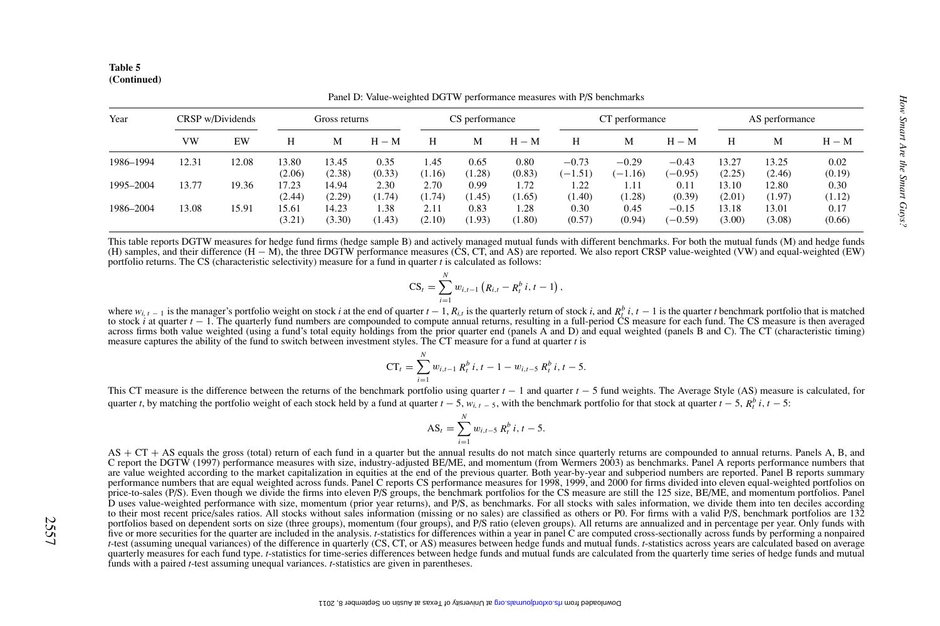### **Table 5 (Continued)**

| Year      |       | CRSP w/Dividends |                 | Gross returns   |                |                | CS performance |                |                      | CT performance       |                      |                 | AS performance  |                |
|-----------|-------|------------------|-----------------|-----------------|----------------|----------------|----------------|----------------|----------------------|----------------------|----------------------|-----------------|-----------------|----------------|
|           | VW    | EW               | Н               | М               | $H - M$        | H              | М              | $H - M$        | Н                    | М                    | $H - M$              | H               | М               | $H - M$        |
| 1986-1994 | 12.31 | 12.08            | 13.80<br>(2.06) | 13.45<br>(2.38) | 0.35<br>(0.33) | 1.45<br>(1.16) | 0.65<br>(1.28) | 0.80<br>(0.83) | $-0.73$<br>$(-1.51)$ | $-0.29$<br>$(-1.16)$ | $-0.43$<br>$(-0.95)$ | 13.27<br>(2.25) | 13.25<br>(2.46) | 0.02<br>(0.19) |
| 1995-2004 | 13.77 | 19.36            | 17.23<br>(2.44) | 14.94<br>(2.29) | 2.30<br>(1.74) | 2.70<br>(1.74) | 0.99<br>(1.45) | 1.72<br>(1.65) | 1.22<br>(1.40)       | 1.11<br>(1.28)       | 0.11<br>(0.39)       | 13.10<br>(2.01) | 12.80<br>(1.97) | 0.30<br>(1.12) |
| 1986-2004 | 13.08 | 15.91            | 15.61<br>(3.21) | 14.23<br>(3.30) | 1.38<br>(1.43) | 2.11<br>(2.10) | 0.83<br>(1.93) | 1.28<br>(1.80) | 0.30<br>(0.57)       | 0.45<br>(0.94)       | $-0.15$<br>$(-0.59)$ | 13.18<br>(3.00) | 13.01<br>(3.08) | 0.17<br>(0.66) |

Panel D: Value-weighted DGTW performance measures with P/S benchmarks

This table reports DGTW measures for hedge fund firms (hedge sample B) and actively managed mutual funds with different benchmarks. For both the mutual funds (M) and hedge funds (H) samples, and their difference (H <sup>−</sup> M), the three DGTW performance measures (CS, CT, and AS) are reported. We also report CRSP value-weighted (VW) and equal-weighted (EW) portfolio returns. The CS (characteristic selectivity) measure for <sup>a</sup> fund in quarter *<sup>t</sup>* is calculated as follows:

$$
CS_t = \sum_{i=1}^N w_{i,t-1} (R_{i,t} - R_t^b i, t-1),
$$

where  $w_{i,t-1}$  is the manager's portfolio weight on stock *i* at the end of quarter  $t-1$ ,  $R_{i,t}$  is the quarterly return of stock *i*, and  $R_i^b$  *i*,  $t-1$  is the quarter *t* benchmark portfolio that is matched to stock *i* at quarter *<sup>t</sup>* <sup>−</sup> 1. The quarterly fund numbers are compounded to compute annual returns, resulting in <sup>a</sup> full-period CS measure for each fund. The CS measure is then averaged across firms both value weighted (using a fund's total equity holdings from the prior quarter end (panels A and D) and equal weighted (panels B and C). The CT (characteristic timing) measure captures the ability of the fund to switch between investment styles. The CT measure for <sup>a</sup> fund at quarter *<sup>t</sup>* is

$$
CT_t = \sum_{i=1}^{N} w_{i,t-1} R_t^{b} i, t-1-w_{i,t-5} R_t^{b} i, t-5.
$$

This CT measure is the difference between the returns of the benchmark portfolio using quarter  $t - 1$  and quarter  $t - 5$  fund weights. The Average Style (AS) measure is calculated, for quarter t, by matching the portfolio weight of each stock held by a fund at quarter  $t = 5$ ,  $w_{i,t-5}$ , with the benchmark portfolio for that stock at quarter  $t = 5$ ,  $R_i^b$  i,  $t = 5$ :

$$
AS_t = \sum_{i=1}^{N} w_{i,t-5} R_t^{b} i, t-5.
$$

AS + CT + AS equals the gross (total) return of each fund in a quarter but the annual results do not match since quarterly returns are compounded to annual returns. Panels A, B, and C report the DGTW (1997) performance measures with size, industry-adjusted BE/ME, and momentum (from Wermers 2003) as benchmarks. Panel A reports performance numbers that are value weighted according to the market capitalization in equities at the end of the previous quarter. Both year-by-year and subperiod numbers are reported. Panel B reports summary performance numbers that are equal weighted across funds. Panel C reports CS performance measures for 1998, 1999, and 2000 for firms divided into eleven equal-weighted portfolios on price-to-sales (P/S). Even though we divide the firms into eleven P/S groups, the benchmark portfolios for the CS measure are still the 125 size, BE/ME, and momentum portfolios. Panel D uses value-weighted performance with size, momentum (prior year returns), and P/S, as benchmarks. For all stocks with sales information, we divide them into ten deciles according to their most recent price/sales ratios. All stocks without sales information (missing or no sales) are classified as others or P0. For firms with a valid P/S, benchmark portfolios are 132 portfolios based on dependent sorts on size (three groups), momentum (four groups), and P/S ratio (eleven groups). All returns are annualized and in percentage per year. Only funds with five or more securities for the quarter are included in the analysis. *t*-statistics for differences within a year in panel C are computed cross-sectionally across funds by performing a nonpaired *<sup>t</sup>*-test (assuming unequal variances) of the difference in quarterly (CS, CT, or AS) measures between hedge funds and mutual funds. *<sup>t</sup>*-statistics across years are calculated based on average quarterly measures for each fund type. *<sup>t</sup>*-statistics for time-series differences between hedge funds and mutual funds are calculated from the quarterly time series of hedge funds and mutual funds with <sup>a</sup> paired *<sup>t</sup>*-test assuming unequal variances. *<sup>t</sup>*-statistics are given in parentheses.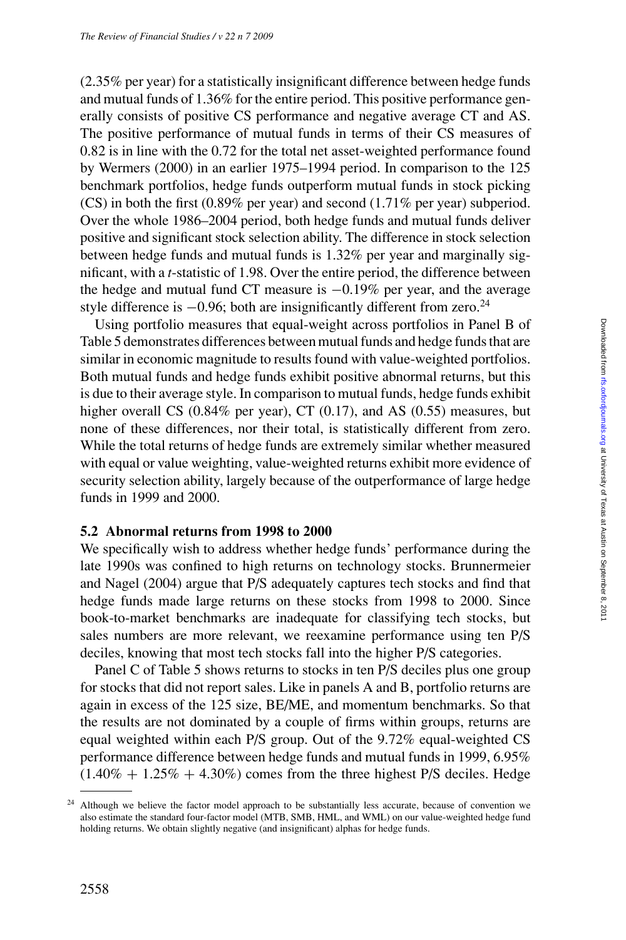(2.35% per year) for a statistically insignificant difference between hedge funds and mutual funds of 1.36% for the entire period. This positive performance generally consists of positive CS performance and negative average CT and AS. The positive performance of mutual funds in terms of their CS measures of 0.82 is in line with the 0.72 for the total net asset-weighted performance found by Wermers (2000) in an earlier 1975–1994 period. In comparison to the 125 benchmark portfolios, hedge funds outperform mutual funds in stock picking (CS) in both the first (0.89% per year) and second (1.71% per year) subperiod. Over the whole 1986–2004 period, both hedge funds and mutual funds deliver positive and significant stock selection ability. The difference in stock selection between hedge funds and mutual funds is 1.32% per year and marginally significant, with a *t*-statistic of 1.98. Over the entire period, the difference between the hedge and mutual fund CT measure is −0.19% per year, and the average style difference is  $-0.96$ ; both are insignificantly different from zero.<sup>24</sup>

Using portfolio measures that equal-weight across portfolios in Panel B of Table 5 demonstrates differences between mutual funds and hedge funds that are similar in economic magnitude to results found with value-weighted portfolios. Both mutual funds and hedge funds exhibit positive abnormal returns, but this is due to their average style. In comparison to mutual funds, hedge funds exhibit higher overall CS (0.84% per year), CT (0.17), and AS (0.55) measures, but none of these differences, nor their total, is statistically different from zero. While the total returns of hedge funds are extremely similar whether measured with equal or value weighting, value-weighted returns exhibit more evidence of security selection ability, largely because of the outperformance of large hedge funds in 1999 and 2000.

## **5.2 Abnormal returns from 1998 to 2000**

We specifically wish to address whether hedge funds' performance during the late 1990s was confined to high returns on technology stocks. Brunnermeier and Nagel (2004) argue that P/S adequately captures tech stocks and find that hedge funds made large returns on these stocks from 1998 to 2000. Since book-to-market benchmarks are inadequate for classifying tech stocks, but sales numbers are more relevant, we reexamine performance using ten P/S deciles, knowing that most tech stocks fall into the higher P/S categories.

Panel C of Table 5 shows returns to stocks in ten P/S deciles plus one group for stocks that did not report sales. Like in panels A and B, portfolio returns are again in excess of the 125 size, BE/ME, and momentum benchmarks. So that the results are not dominated by a couple of firms within groups, returns are equal weighted within each P/S group. Out of the 9.72% equal-weighted CS performance difference between hedge funds and mutual funds in 1999, 6.95%  $(1.40\% + 1.25\% + 4.30\%)$  comes from the three highest P/S deciles. Hedge

<sup>&</sup>lt;sup>24</sup> Although we believe the factor model approach to be substantially less accurate, because of convention we also estimate the standard four-factor model (MTB, SMB, HML, and WML) on our value-weighted hedge fund holding returns. We obtain slightly negative (and insignificant) alphas for hedge funds.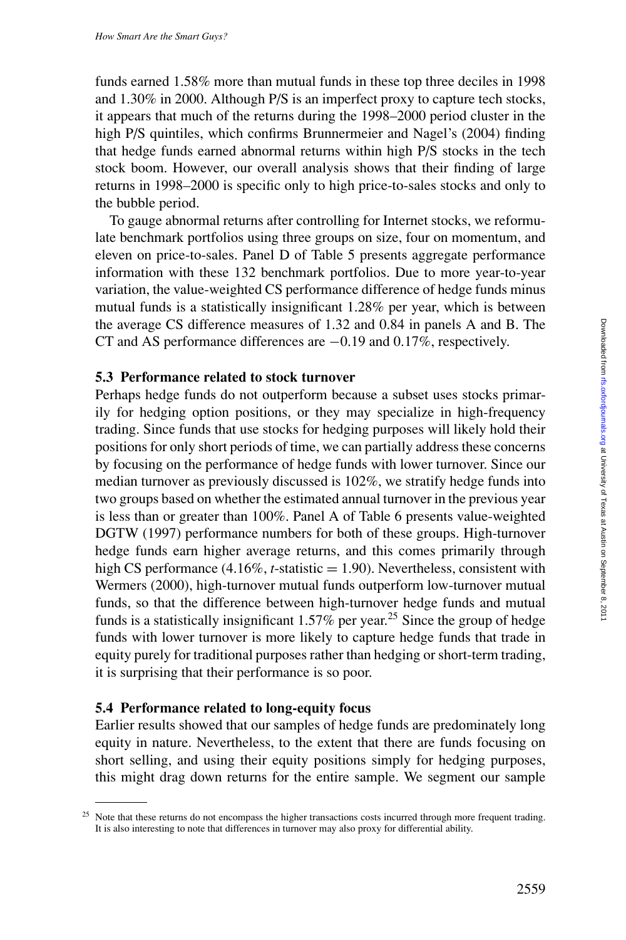funds earned 1.58% more than mutual funds in these top three deciles in 1998 and 1.30% in 2000. Although P/S is an imperfect proxy to capture tech stocks, it appears that much of the returns during the 1998–2000 period cluster in the high P/S quintiles, which confirms Brunnermeier and Nagel's (2004) finding that hedge funds earned abnormal returns within high P/S stocks in the tech stock boom. However, our overall analysis shows that their finding of large returns in 1998–2000 is specific only to high price-to-sales stocks and only to the bubble period.

To gauge abnormal returns after controlling for Internet stocks, we reformulate benchmark portfolios using three groups on size, four on momentum, and eleven on price-to-sales. Panel D of Table 5 presents aggregate performance information with these 132 benchmark portfolios. Due to more year-to-year variation, the value-weighted CS performance difference of hedge funds minus mutual funds is a statistically insignificant 1.28% per year, which is between the average CS difference measures of 1.32 and 0.84 in panels A and B. The CT and AS performance differences are −0.19 and 0.17%, respectively.

## **5.3 Performance related to stock turnover**

Perhaps hedge funds do not outperform because a subset uses stocks primarily for hedging option positions, or they may specialize in high-frequency trading. Since funds that use stocks for hedging purposes will likely hold their positions for only short periods of time, we can partially address these concerns by focusing on the performance of hedge funds with lower turnover. Since our median turnover as previously discussed is 102%, we stratify hedge funds into two groups based on whether the estimated annual turnover in the previous year is less than or greater than 100%. Panel A of Table 6 presents value-weighted DGTW (1997) performance numbers for both of these groups. High-turnover hedge funds earn higher average returns, and this comes primarily through high CS performance (4.16%, *t*-statistic = 1.90). Nevertheless, consistent with Wermers (2000), high-turnover mutual funds outperform low-turnover mutual funds, so that the difference between high-turnover hedge funds and mutual funds is a statistically insignificant  $1.57\%$  per year.<sup>25</sup> Since the group of hedge funds with lower turnover is more likely to capture hedge funds that trade in equity purely for traditional purposes rather than hedging or short-term trading, it is surprising that their performance is so poor.

## **5.4 Performance related to long-equity focus**

Earlier results showed that our samples of hedge funds are predominately long equity in nature. Nevertheless, to the extent that there are funds focusing on short selling, and using their equity positions simply for hedging purposes, this might drag down returns for the entire sample. We segment our sample

<sup>&</sup>lt;sup>25</sup> Note that these returns do not encompass the higher transactions costs incurred through more frequent trading. It is also interesting to note that differences in turnover may also proxy for differential ability.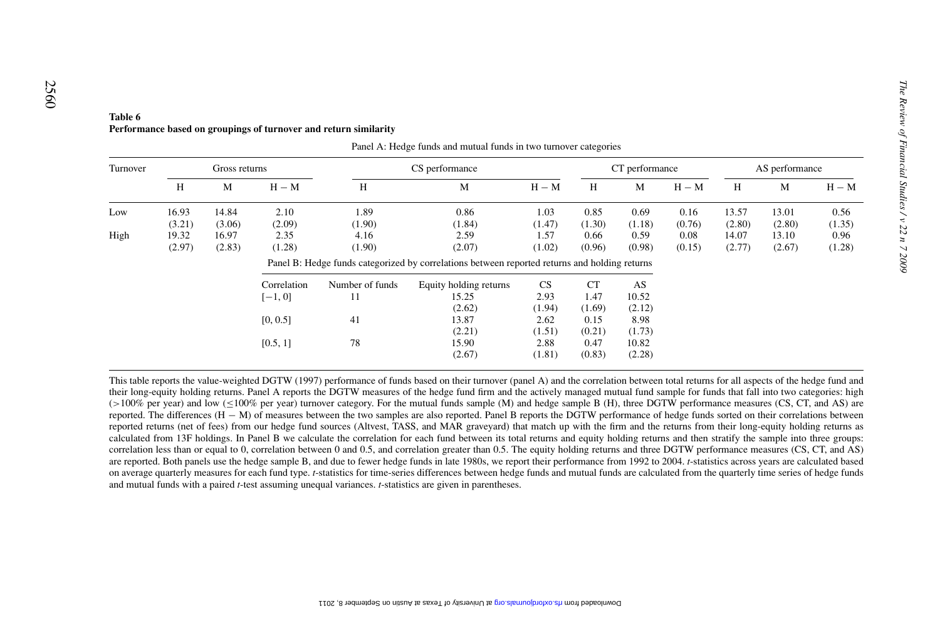|          |        |               |             |                 | Panel A: Hedge funds and mutual funds in two turnover categories                              |         |        |                |         |        |                |         |
|----------|--------|---------------|-------------|-----------------|-----------------------------------------------------------------------------------------------|---------|--------|----------------|---------|--------|----------------|---------|
| Turnover |        | Gross returns |             |                 | CS performance                                                                                |         |        | CT performance |         |        | AS performance |         |
|          | Н      | M             | $H - M$     | H               | M                                                                                             | $H - M$ | H      | M              | $H - M$ | H      | M              | $H - M$ |
| Low      | 16.93  | 14.84         | 2.10        | 1.89            | 0.86                                                                                          | 1.03    | 0.85   | 0.69           | 0.16    | 13.57  | 13.01          | 0.56    |
|          | (3.21) | (3.06)        | (2.09)      | (1.90)          | (1.84)                                                                                        | (1.47)  | (1.30) | (1.18)         | (0.76)  | (2.80) | (2.80)         | (1.35)  |
| High     | 19.32  | 16.97         | 2.35        | 4.16            | 2.59                                                                                          | 1.57    | 0.66   | 0.59           | 0.08    | 14.07  | 13.10          | 0.96    |
|          | (2.97) | (2.83)        | (1.28)      | (1.90)          | (2.07)                                                                                        | (1.02)  | (0.96) | (0.98)         | (0.15)  | (2.77) | (2.67)         | (1.28)  |
|          |        |               |             |                 | Panel B: Hedge funds categorized by correlations between reported returns and holding returns |         |        |                |         |        |                |         |
|          |        |               | Correlation | Number of funds | Equity holding returns                                                                        | CS      | CT     | AS             |         |        |                |         |
|          |        |               | $[-1, 0]$   | 11              | 15.25                                                                                         | 2.93    | 1.47   | 10.52          |         |        |                |         |
|          |        |               |             |                 | (2.62)                                                                                        | (1.94)  | (1.69) | (2.12)         |         |        |                |         |
|          |        |               | [0, 0.5]    | 41              | 13.87                                                                                         | 2.62    | 0.15   | 8.98           |         |        |                |         |
|          |        |               |             |                 | (2.21)                                                                                        | (1.51)  | (0.21) | (1.73)         |         |        |                |         |
|          |        |               | [0.5, 1]    | 78              | 15.90                                                                                         | 2.88    | 0.47   | 10.82          |         |        |                |         |
|          |        |               |             |                 | (2.67)                                                                                        | (1.81)  | (0.83) | (2.28)         |         |        |                |         |

This table reports the value-weighted DGTW (1997) performance of funds based on their turnover (panel A) and the correlation between total returns for all aspects of the hedge fund and their long-equity holding returns. Panel A reports the DGTW measures of the hedge fund firm and the actively managed mutual fund sample for funds that fall into two categories: high  $(>100\%$  per year) and low  $(<100\%$  per year) turnover category. For the mutual funds sample (M) and hedge sample B (H), three DGTW performance measures (CS, CT, and AS) are reported. The differences (H <sup>−</sup> M) of measures between the two samples are also reported. Panel B reports the DGTW performance of hedge funds sorted on their correlations between reported returns (net of fees) from our hedge fund sources (Altvest, TASS, and MAR graveyard) that match up with the firm and the returns from their long-equity holding returns as calculated from 13F holdings. In Panel B we calculate the correlation for each fund between its total returns and equity holding returns and then stratify the sample into three groups: correlation less than or equal to 0, correlation between 0 and 0.5, and correlation greater than 0.5. The equity holding returns and three DGTW performance measures (CS, CT, and AS) are reported. Both panels use the hedge sample B, and due to fewer hedge funds in late 1980s, we report their performance from 1992 to 2004. *<sup>t</sup>*-statistics across years are calculated based on average quarterly measures for each fund type. *<sup>t</sup>*-statistics for time-series differences between hedge funds and mutual funds are calculated from the quarterly time series of hedge funds and mutual funds with <sup>a</sup> paired *<sup>t</sup>*-test assuming unequal variances. *<sup>t</sup>*-statistics are given in parentheses.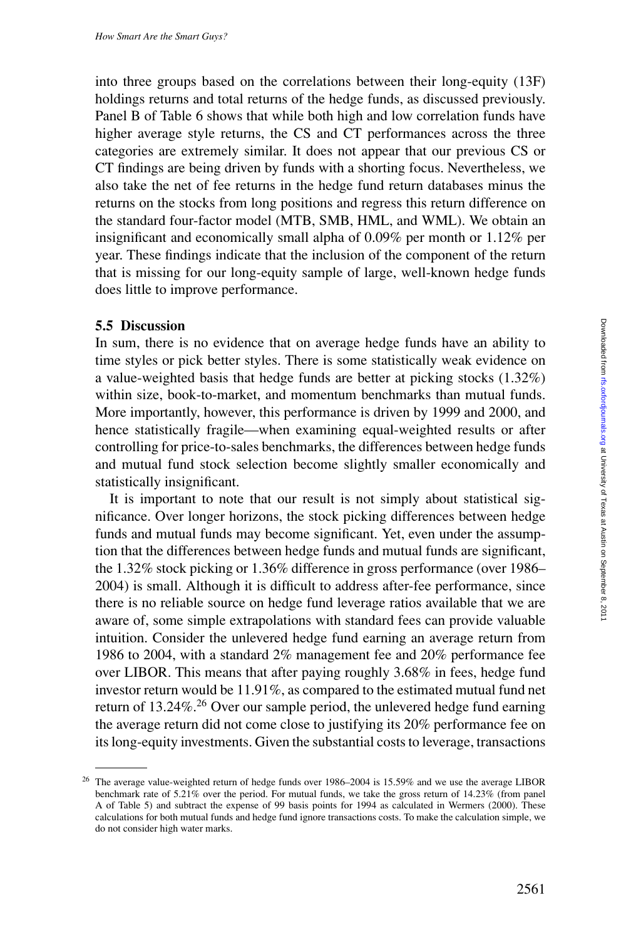into three groups based on the correlations between their long-equity (13F) holdings returns and total returns of the hedge funds, as discussed previously. Panel B of Table 6 shows that while both high and low correlation funds have higher average style returns, the CS and CT performances across the three categories are extremely similar. It does not appear that our previous CS or CT findings are being driven by funds with a shorting focus. Nevertheless, we also take the net of fee returns in the hedge fund return databases minus the returns on the stocks from long positions and regress this return difference on the standard four-factor model (MTB, SMB, HML, and WML). We obtain an insignificant and economically small alpha of 0.09% per month or 1.12% per year. These findings indicate that the inclusion of the component of the return that is missing for our long-equity sample of large, well-known hedge funds does little to improve performance.

## **5.5 Discussion**

In sum, there is no evidence that on average hedge funds have an ability to time styles or pick better styles. There is some statistically weak evidence on a value-weighted basis that hedge funds are better at picking stocks (1.32%) within size, book-to-market, and momentum benchmarks than mutual funds. More importantly, however, this performance is driven by 1999 and 2000, and hence statistically fragile—when examining equal-weighted results or after controlling for price-to-sales benchmarks, the differences between hedge funds and mutual fund stock selection become slightly smaller economically and statistically insignificant.

It is important to note that our result is not simply about statistical significance. Over longer horizons, the stock picking differences between hedge funds and mutual funds may become significant. Yet, even under the assumption that the differences between hedge funds and mutual funds are significant, the 1.32% stock picking or 1.36% difference in gross performance (over 1986– 2004) is small. Although it is difficult to address after-fee performance, since there is no reliable source on hedge fund leverage ratios available that we are aware of, some simple extrapolations with standard fees can provide valuable intuition. Consider the unlevered hedge fund earning an average return from 1986 to 2004, with a standard 2% management fee and 20% performance fee over LIBOR. This means that after paying roughly 3.68% in fees, hedge fund investor return would be 11.91%, as compared to the estimated mutual fund net return of  $13.24\%$ <sup>26</sup> Over our sample period, the unlevered hedge fund earning the average return did not come close to justifying its 20% performance fee on its long-equity investments. Given the substantial costs to leverage, transactions

<sup>26</sup> The average value-weighted return of hedge funds over 1986–2004 is 15.59% and we use the average LIBOR benchmark rate of 5.21% over the period. For mutual funds, we take the gross return of 14.23% (from panel A of Table 5) and subtract the expense of 99 basis points for 1994 as calculated in Wermers (2000). These calculations for both mutual funds and hedge fund ignore transactions costs. To make the calculation simple, we do not consider high water marks.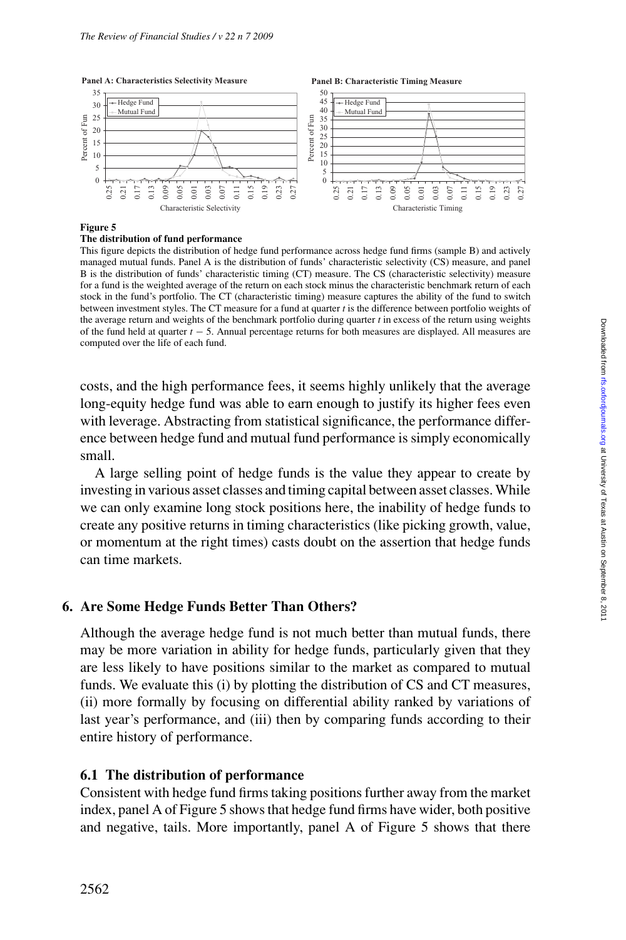

### **Figure 5**

### **The distribution of fund performance**

This figure depicts the distribution of hedge fund performance across hedge fund firms (sample B) and actively managed mutual funds. Panel A is the distribution of funds' characteristic selectivity (CS) measure, and panel B is the distribution of funds' characteristic timing (CT) measure. The CS (characteristic selectivity) measure for a fund is the weighted average of the return on each stock minus the characteristic benchmark return of each stock in the fund's portfolio. The CT (characteristic timing) measure captures the ability of the fund to switch between investment styles. The CT measure for a fund at quarter *t* is the difference between portfolio weights of the average return and weights of the benchmark portfolio during quarter *t* in excess of the return using weights of the fund held at quarter *t* − 5. Annual percentage returns for both measures are displayed. All measures are computed over the life of each fund.

costs, and the high performance fees, it seems highly unlikely that the average long-equity hedge fund was able to earn enough to justify its higher fees even with leverage. Abstracting from statistical significance, the performance difference between hedge fund and mutual fund performance is simply economically small.

A large selling point of hedge funds is the value they appear to create by investing in various asset classes and timing capital between asset classes.While we can only examine long stock positions here, the inability of hedge funds to create any positive returns in timing characteristics (like picking growth, value, or momentum at the right times) casts doubt on the assertion that hedge funds can time markets.

### **6. Are Some Hedge Funds Better Than Others?**

Although the average hedge fund is not much better than mutual funds, there may be more variation in ability for hedge funds, particularly given that they are less likely to have positions similar to the market as compared to mutual funds. We evaluate this (i) by plotting the distribution of CS and CT measures, (ii) more formally by focusing on differential ability ranked by variations of last year's performance, and (iii) then by comparing funds according to their entire history of performance.

### **6.1 The distribution of performance**

Consistent with hedge fund firms taking positions further away from the market index, panel A of Figure 5 shows that hedge fund firms have wider, both positive and negative, tails. More importantly, panel A of Figure 5 shows that there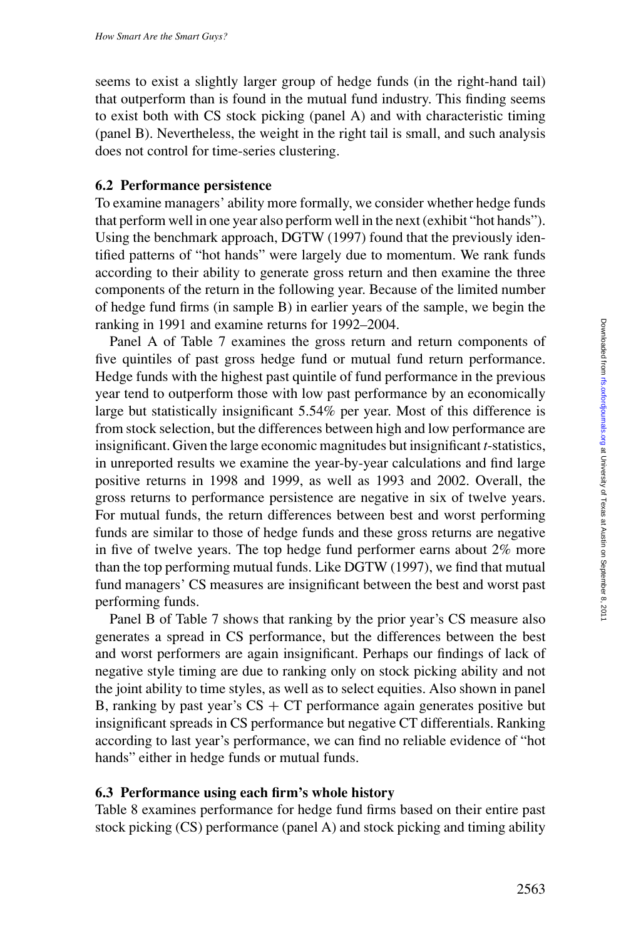seems to exist a slightly larger group of hedge funds (in the right-hand tail) that outperform than is found in the mutual fund industry. This finding seems to exist both with CS stock picking (panel A) and with characteristic timing (panel B). Nevertheless, the weight in the right tail is small, and such analysis does not control for time-series clustering.

### **6.2 Performance persistence**

To examine managers' ability more formally, we consider whether hedge funds that perform well in one year also perform well in the next (exhibit "hot hands"). Using the benchmark approach, DGTW (1997) found that the previously identified patterns of "hot hands" were largely due to momentum. We rank funds according to their ability to generate gross return and then examine the three components of the return in the following year. Because of the limited number of hedge fund firms (in sample B) in earlier years of the sample, we begin the ranking in 1991 and examine returns for 1992–2004.

Panel A of Table 7 examines the gross return and return components of five quintiles of past gross hedge fund or mutual fund return performance. Hedge funds with the highest past quintile of fund performance in the previous year tend to outperform those with low past performance by an economically large but statistically insignificant 5.54% per year. Most of this difference is from stock selection, but the differences between high and low performance are insignificant. Given the large economic magnitudes but insignificant *t*-statistics, in unreported results we examine the year-by-year calculations and find large positive returns in 1998 and 1999, as well as 1993 and 2002. Overall, the gross returns to performance persistence are negative in six of twelve years. For mutual funds, the return differences between best and worst performing funds are similar to those of hedge funds and these gross returns are negative in five of twelve years. The top hedge fund performer earns about 2% more than the top performing mutual funds. Like DGTW (1997), we find that mutual fund managers' CS measures are insignificant between the best and worst past performing funds.

Panel B of Table 7 shows that ranking by the prior year's CS measure also generates a spread in CS performance, but the differences between the best and worst performers are again insignificant. Perhaps our findings of lack of negative style timing are due to ranking only on stock picking ability and not the joint ability to time styles, as well as to select equities. Also shown in panel B, ranking by past year's  $CS + CT$  performance again generates positive but insignificant spreads in CS performance but negative CT differentials. Ranking according to last year's performance, we can find no reliable evidence of "hot hands" either in hedge funds or mutual funds.

### **6.3 Performance using each firm's whole history**

Table 8 examines performance for hedge fund firms based on their entire past stock picking (CS) performance (panel A) and stock picking and timing ability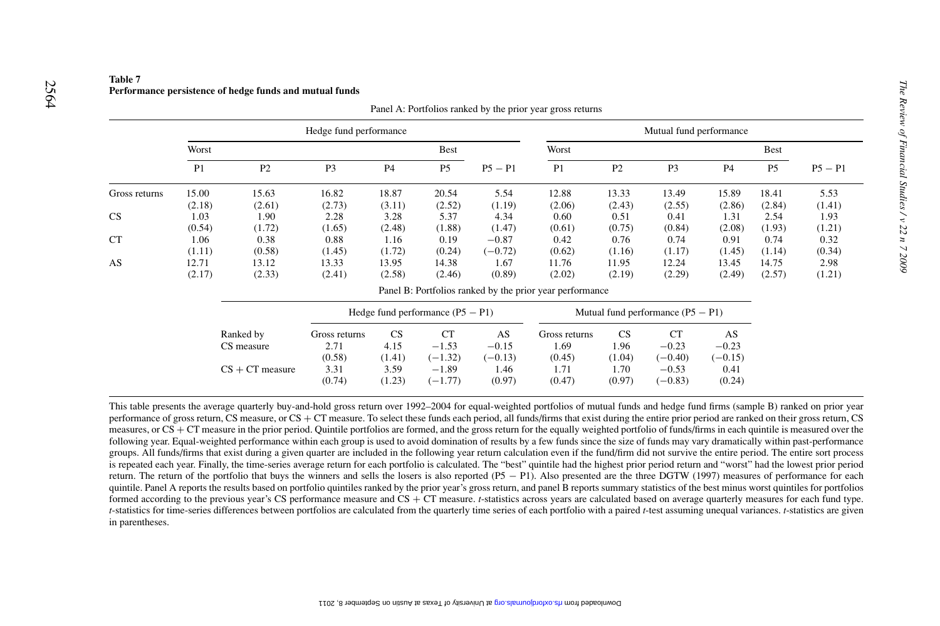|               |                | Hedge fund performance             |                |                |                |                                     |                                                          | Mutual fund performance |                |                |                |           |  |
|---------------|----------------|------------------------------------|----------------|----------------|----------------|-------------------------------------|----------------------------------------------------------|-------------------------|----------------|----------------|----------------|-----------|--|
|               | Worst          |                                    |                |                | Best           |                                     | Worst                                                    |                         |                |                | Best           |           |  |
|               | P <sub>1</sub> | P <sub>2</sub>                     | P <sub>3</sub> | P <sub>4</sub> | P <sub>5</sub> | $P5 - P1$                           | P <sub>1</sub>                                           | P <sub>2</sub>          | P <sub>3</sub> | P <sub>4</sub> | P <sub>5</sub> | $P5 - P1$ |  |
| Gross returns | 15.00          | 15.63                              | 16.82          | 18.87          | 20.54          | 5.54                                | 12.88                                                    | 13.33                   | 13.49          | 15.89          | 18.41          | 5.53      |  |
|               | (2.18)         | (2.61)                             | (2.73)         | (3.11)         | (2.52)         | (1.19)                              | (2.06)                                                   | (2.43)                  | (2.55)         | (2.86)         | (2.84)         | (1.41)    |  |
| CS            | 1.03           | 1.90                               | 2.28           | 3.28           | 5.37           | 4.34                                | 0.60                                                     | 0.51                    | 0.41           | 1.31           | 2.54           | 1.93      |  |
|               | (0.54)         | (1.72)                             | (1.65)         | (2.48)         | (1.88)         | (1.47)                              | (0.61)                                                   | (0.75)                  | (0.84)         | (2.08)         | (1.93)         | (1.21)    |  |
| <b>CT</b>     | 1.06           | 0.38                               | 0.88           | 1.16           | 0.19           | $-0.87$                             | 0.42                                                     | 0.76                    | 0.74           | 0.91           | 0.74           | 0.32      |  |
|               | (1.11)         | (0.58)                             | (1.45)         | (1.72)         | (0.24)         | $(-0.72)$                           | (0.62)                                                   | (1.16)                  | (1.17)         | (1.45)         | (1.14)         | (0.34)    |  |
| AS            | 12.71          | 13.12                              | 13.33          | 13.95          | 14.38          | 1.67                                | 11.76                                                    | 11.95                   | 12.24          | 13.45          | 14.75          | 2.98      |  |
|               | (2.17)         | (2.33)                             | (2.41)         | (2.58)         | (2.46)         | (0.89)                              | (2.02)                                                   | (2.19)                  | (2.29)         | (2.49)         | (2.57)         | (1.21)    |  |
|               |                |                                    |                |                |                |                                     | Panel B: Portfolios ranked by the prior year performance |                         |                |                |                |           |  |
|               |                | Hedge fund performance $(P5 - P1)$ |                |                |                | Mutual fund performance $(P5 - P1)$ |                                                          |                         |                |                |                |           |  |
|               | Ranked by      |                                    | Gross returns  | <b>CS</b>      | <b>CT</b>      | AS                                  | Gross returns                                            | <b>CS</b>               | <b>CT</b>      | AS             |                |           |  |
|               |                | CS measure                         | 2.71           | 4.15           | $-1.53$        | $-0.15$                             | 1.69                                                     | 1.96                    | $-0.23$        | $-0.23$        |                |           |  |

| Panel A: Portfolios ranked by the prior year gross return |  |  |
|-----------------------------------------------------------|--|--|
|-----------------------------------------------------------|--|--|

This table presents the average quarterly buy-and-hold gross return over 1992–2004 for equal-weighted portfolios of mutual funds and hedge fund firms (sample B) ranked on prior year performance of gross return, CS measure, or CS + CT measure, To select these funds each period, all funds/firms that exist during the entire prior period are ranked on their gross return, CS measures, or CS + CT measure in the prior period. Quintile portfolios are formed, and the gross return for the equally weighted portfolio of funds/firms in each quintile is measured over the following year. Equal-weighted performance within each group is used to avoid domination of results by a few funds since the size of funds may vary dramatically within past-performance groups. All funds/firms that exist during <sup>a</sup> given quarter are included in the following year return calculation even if the fund/firm did not survive the entire period. The entire sort process is repeated each year. Finally, the time-series average return for each portfolio is calculated. The "best" quintile had the highest prior period return and "worst" had the lowest prior period return. The return of the portfolio that buys the winners and sells the losers is also reported (P5 − P1). Also presented are the three DGTW (1997) measures of performance for each quintile. Panel A reports the results based on portfolio quintiles ranked by the prior year's gross return, and panel B reports summary statistics of the best minus worst quintiles for portfolios formed according to the previous year's CS performance measure and CS + CT measure. *<sup>t</sup>*-statistics across years are calculated based on average quarterly measures for each fund type. *<sup>t</sup>*-statistics for time-series differences between portfolios are calculated from the quarterly time series of each portfolio with <sup>a</sup> paired *<sup>t</sup>*-test assuming unequal variances. *<sup>t</sup>*-statistics are given in parentheses.

 $CS + CT$  measure 3.31 3.59 −1.89 1.46 1.71 1.70 −0.53 0.41

 $(0.58)$   $(1.41)$   $(-1.32)$   $(-0.13)$   $(0.45)$   $(1.04)$   $(-0.40)$   $(-0.15)$ 

 $(0.74)$   $(1.23)$   $(-1.77)$   $(0.97)$   $(0.47)$   $(0.97)$   $(-0.83)$   $(0.24)$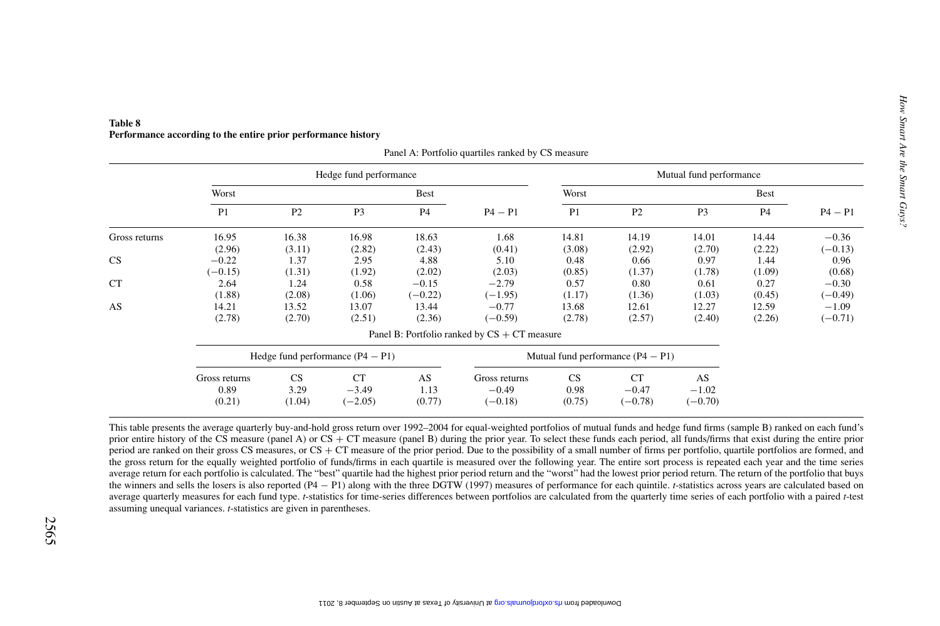|               |                                    |                 |                      |                      | Panel A: Portfolio quartiles ranked by CS measure |                 |                         |                      |                 |                      |  |  |
|---------------|------------------------------------|-----------------|----------------------|----------------------|---------------------------------------------------|-----------------|-------------------------|----------------------|-----------------|----------------------|--|--|
|               | Hedge fund performance             |                 |                      |                      |                                                   |                 | Mutual fund performance |                      |                 |                      |  |  |
|               | Worst                              |                 |                      | <b>Best</b>          |                                                   | Worst           |                         |                      |                 |                      |  |  |
|               | P <sub>1</sub>                     | P <sub>2</sub>  | P <sub>3</sub>       | <b>P4</b>            | $P4 - P1$                                         | P <sub>1</sub>  | P2                      | P <sub>3</sub>       | <b>P4</b>       | $P4 - P1$            |  |  |
| Gross returns | 16.95<br>(2.96)                    | 16.38<br>(3.11) | 16.98<br>(2.82)      | 18.63<br>(2.43)      | 1.68<br>(0.41)                                    | 14.81<br>(3.08) | 14.19<br>(2.92)         | 14.01<br>(2.70)      | 14.44<br>(2.22) | $-0.36$<br>$(-0.13)$ |  |  |
| CS            | $-0.22$<br>$(-0.15)$               | 1.37<br>(1.31)  | 2.95<br>(1.92)       | 4.88<br>(2.02)       | 5.10<br>(2.03)                                    | 0.48<br>(0.85)  | 0.66<br>(1.37)          | 0.97<br>(1.78)       | 1.44<br>(1.09)  | 0.96<br>(0.68)       |  |  |
| <b>CT</b>     | 2.64<br>(1.88)                     | 1.24<br>(2.08)  | 0.58<br>(1.06)       | $-0.15$<br>$(-0.22)$ | $-2.79$<br>$(-1.95)$                              | 0.57<br>(1.17)  | 0.80<br>(1.36)          | 0.61<br>(1.03)       | 0.27<br>(0.45)  | $-0.30$<br>$(-0.49)$ |  |  |
| AS            | 14.21<br>(2.78)                    | 13.52<br>(2.70) | 13.07<br>(2.51)      | 13.44<br>(2.36)      | $-0.77$<br>$(-0.59)$                              | 13.68<br>(2.78) | 12.61<br>(2.57)         | 12.27<br>(2.40)      | 12.59<br>(2.26) | $-1.09$<br>$(-0.71)$ |  |  |
|               |                                    |                 |                      |                      | Panel B: Portfolio ranked by $CS + CT$ measure    |                 |                         |                      |                 |                      |  |  |
|               | Hedge fund performance $(P4 - P1)$ |                 |                      |                      | Mutual fund performance $(P4 - P1)$               |                 |                         |                      |                 |                      |  |  |
|               | Gross returns                      | <b>CS</b>       | <b>CT</b>            | AS                   | Gross returns                                     | CS              | <b>CT</b>               | AS                   |                 |                      |  |  |
|               | 0.89<br>(0.21)                     | 3.29<br>(1.04)  | $-3.49$<br>$(-2.05)$ | 1.13<br>(0.77)       | $-0.49$<br>$(-0.18)$                              | 0.98<br>(0.75)  | $-0.47$<br>$(-0.78)$    | $-1.02$<br>$(-0.70)$ |                 |                      |  |  |

This table presents the average quarterly buy-and-hold gross return over 1992–2004 for equal-weighted portfolios of mutual funds and hedge fund firms (sample B) ranked on each fund's prior entire history of the CS measure (panel A) or CS + CT measure (panel B) during the prior year. To select these funds each period, all funds/firms that exist during the entire prior period are ranked on their gross CS measures, or CS + CT measure of the prior period. Due to the possibility of a small number of firms per portfolio, quartile portfolios are formed, and the gross return for the equally weighted portfolio of funds/firms in each quartile is measured over the following year. The entire sort process is repeated each year and the time series average return for each portfolio is calculated. The "best" quartile had the highest prior period return and the "worst" had the lowest prior period return. The return of the portfolio that buys the winners and sells the losers is also reported (P4 <sup>−</sup> P1) along with the three DGTW (1997) measures of performance for each quintile. *<sup>t</sup>*-statistics across years are calculated based on average quarterly measures for each fund type. *<sup>t</sup>*-statistics for time-series differences between portfolios are calculated from the quarterly time series of each portfolio with <sup>a</sup> paired *<sup>t</sup>*-test assuming unequal variances. *<sup>t</sup>*-statistics are given in parentheses.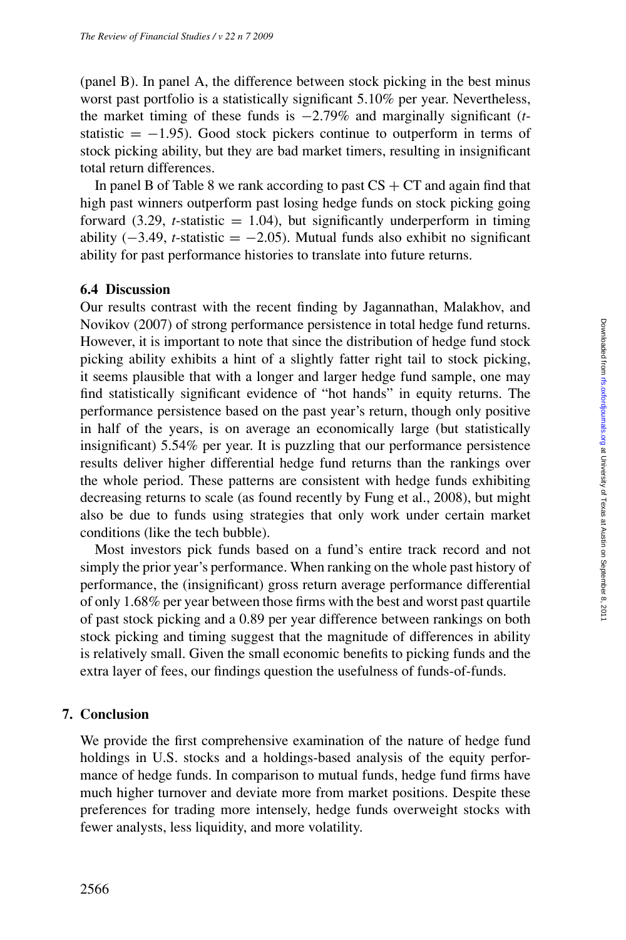(panel B). In panel A, the difference between stock picking in the best minus worst past portfolio is a statistically significant 5.10% per year. Nevertheless, the market timing of these funds is −2.79% and marginally significant (*t*statistic  $= -1.95$ ). Good stock pickers continue to outperform in terms of stock picking ability, but they are bad market timers, resulting in insignificant total return differences.

In panel B of Table 8 we rank according to past  $CS + CT$  and again find that high past winners outperform past losing hedge funds on stock picking going forward  $(3.29, t\text{-statistic} = 1.04)$ , but significantly underperform in timing ability  $(-3.49, t\text{-statistic} = -2.05)$ . Mutual funds also exhibit no significant ability for past performance histories to translate into future returns.

## **6.4 Discussion**

Our results contrast with the recent finding by Jagannathan, Malakhov, and Novikov (2007) of strong performance persistence in total hedge fund returns. However, it is important to note that since the distribution of hedge fund stock picking ability exhibits a hint of a slightly fatter right tail to stock picking, it seems plausible that with a longer and larger hedge fund sample, one may find statistically significant evidence of "hot hands" in equity returns. The performance persistence based on the past year's return, though only positive in half of the years, is on average an economically large (but statistically insignificant) 5.54% per year. It is puzzling that our performance persistence results deliver higher differential hedge fund returns than the rankings over the whole period. These patterns are consistent with hedge funds exhibiting decreasing returns to scale (as found recently by Fung et al., 2008), but might also be due to funds using strategies that only work under certain market conditions (like the tech bubble).

Most investors pick funds based on a fund's entire track record and not simply the prior year's performance. When ranking on the whole past history of performance, the (insignificant) gross return average performance differential of only 1.68% per year between those firms with the best and worst past quartile of past stock picking and a 0.89 per year difference between rankings on both stock picking and timing suggest that the magnitude of differences in ability is relatively small. Given the small economic benefits to picking funds and the extra layer of fees, our findings question the usefulness of funds-of-funds.

### **7. Conclusion**

We provide the first comprehensive examination of the nature of hedge fund holdings in U.S. stocks and a holdings-based analysis of the equity performance of hedge funds. In comparison to mutual funds, hedge fund firms have much higher turnover and deviate more from market positions. Despite these preferences for trading more intensely, hedge funds overweight stocks with fewer analysts, less liquidity, and more volatility.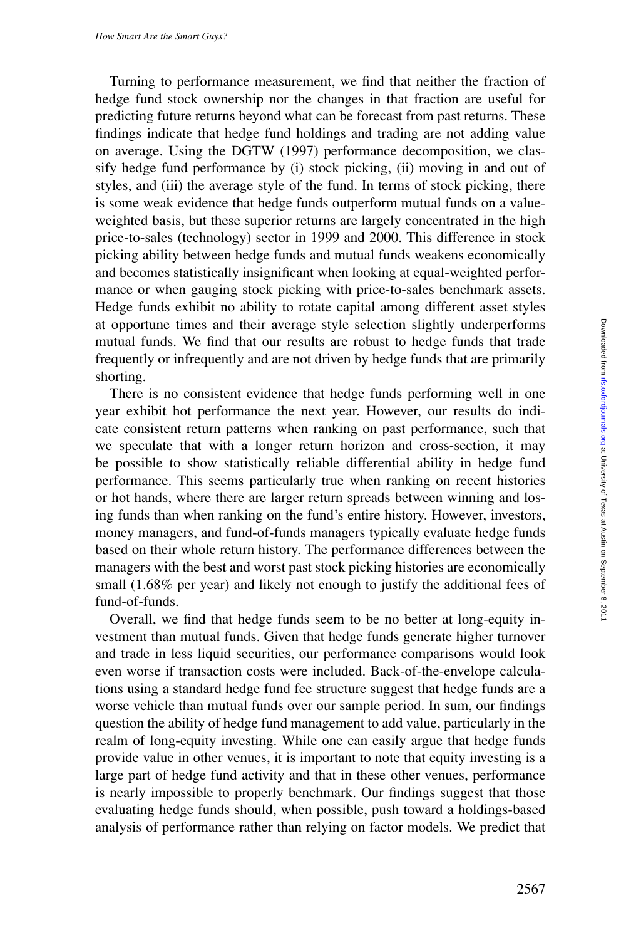Turning to performance measurement, we find that neither the fraction of hedge fund stock ownership nor the changes in that fraction are useful for predicting future returns beyond what can be forecast from past returns. These findings indicate that hedge fund holdings and trading are not adding value on average. Using the DGTW (1997) performance decomposition, we classify hedge fund performance by (i) stock picking, (ii) moving in and out of styles, and (iii) the average style of the fund. In terms of stock picking, there is some weak evidence that hedge funds outperform mutual funds on a valueweighted basis, but these superior returns are largely concentrated in the high price-to-sales (technology) sector in 1999 and 2000. This difference in stock picking ability between hedge funds and mutual funds weakens economically and becomes statistically insignificant when looking at equal-weighted performance or when gauging stock picking with price-to-sales benchmark assets. Hedge funds exhibit no ability to rotate capital among different asset styles at opportune times and their average style selection slightly underperforms mutual funds. We find that our results are robust to hedge funds that trade frequently or infrequently and are not driven by hedge funds that are primarily shorting.

There is no consistent evidence that hedge funds performing well in one year exhibit hot performance the next year. However, our results do indicate consistent return patterns when ranking on past performance, such that we speculate that with a longer return horizon and cross-section, it may be possible to show statistically reliable differential ability in hedge fund performance. This seems particularly true when ranking on recent histories or hot hands, where there are larger return spreads between winning and losing funds than when ranking on the fund's entire history. However, investors, money managers, and fund-of-funds managers typically evaluate hedge funds based on their whole return history. The performance differences between the managers with the best and worst past stock picking histories are economically small (1.68% per year) and likely not enough to justify the additional fees of fund-of-funds.

Overall, we find that hedge funds seem to be no better at long-equity investment than mutual funds. Given that hedge funds generate higher turnover and trade in less liquid securities, our performance comparisons would look even worse if transaction costs were included. Back-of-the-envelope calculations using a standard hedge fund fee structure suggest that hedge funds are a worse vehicle than mutual funds over our sample period. In sum, our findings question the ability of hedge fund management to add value, particularly in the realm of long-equity investing. While one can easily argue that hedge funds provide value in other venues, it is important to note that equity investing is a large part of hedge fund activity and that in these other venues, performance is nearly impossible to properly benchmark. Our findings suggest that those evaluating hedge funds should, when possible, push toward a holdings-based analysis of performance rather than relying on factor models. We predict that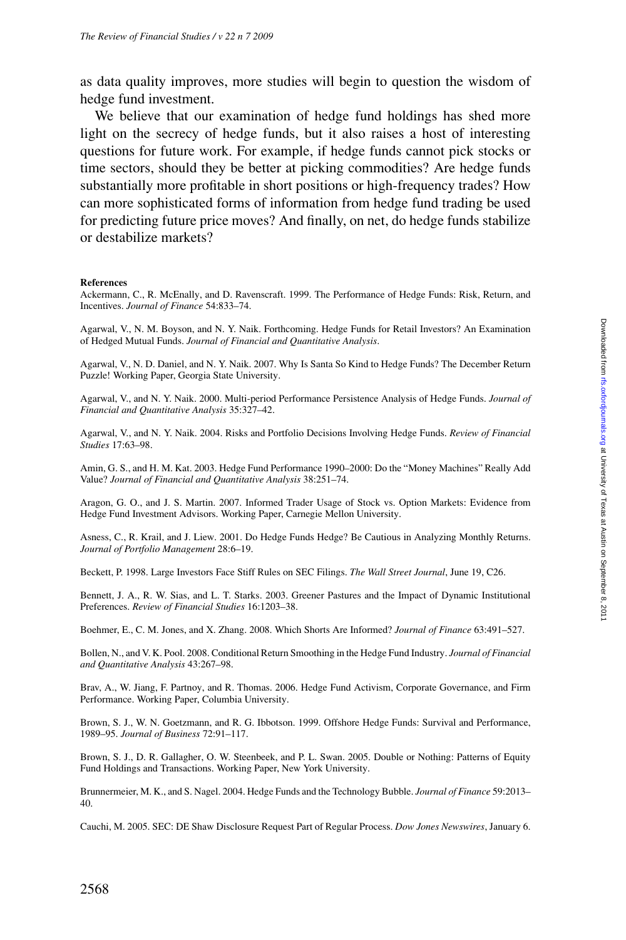as data quality improves, more studies will begin to question the wisdom of hedge fund investment.

We believe that our examination of hedge fund holdings has shed more light on the secrecy of hedge funds, but it also raises a host of interesting questions for future work. For example, if hedge funds cannot pick stocks or time sectors, should they be better at picking commodities? Are hedge funds substantially more profitable in short positions or high-frequency trades? How can more sophisticated forms of information from hedge fund trading be used for predicting future price moves? And finally, on net, do hedge funds stabilize or destabilize markets?

### **References**

Ackermann, C., R. McEnally, and D. Ravenscraft. 1999. The Performance of Hedge Funds: Risk, Return, and Incentives. *Journal of Finance* 54:833–74.

Agarwal, V., N. M. Boyson, and N. Y. Naik. Forthcoming. Hedge Funds for Retail Investors? An Examination of Hedged Mutual Funds. *Journal of Financial and Quantitative Analysis*.

Agarwal, V., N. D. Daniel, and N. Y. Naik. 2007. Why Is Santa So Kind to Hedge Funds? The December Return Puzzle! Working Paper, Georgia State University.

Agarwal, V., and N. Y. Naik. 2000. Multi-period Performance Persistence Analysis of Hedge Funds. *Journal of Financial and Quantitative Analysis* 35:327–42.

Agarwal, V., and N. Y. Naik. 2004. Risks and Portfolio Decisions Involving Hedge Funds. *Review of Financial Studies* 17:63–98.

Amin, G. S., and H. M. Kat. 2003. Hedge Fund Performance 1990–2000: Do the "Money Machines" Really Add Value? *Journal of Financial and Quantitative Analysis* 38:251–74.

Aragon, G. O., and J. S. Martin. 2007. Informed Trader Usage of Stock vs. Option Markets: Evidence from Hedge Fund Investment Advisors. Working Paper, Carnegie Mellon University.

Asness, C., R. Krail, and J. Liew. 2001. Do Hedge Funds Hedge? Be Cautious in Analyzing Monthly Returns. *Journal of Portfolio Management* 28:6–19.

Beckett, P. 1998. Large Investors Face Stiff Rules on SEC Filings. *The Wall Street Journal*, June 19, C26.

Bennett, J. A., R. W. Sias, and L. T. Starks. 2003. Greener Pastures and the Impact of Dynamic Institutional Preferences. *Review of Financial Studies* 16:1203–38.

Boehmer, E., C. M. Jones, and X. Zhang. 2008. Which Shorts Are Informed? *Journal of Finance* 63:491–527.

Bollen, N., and V. K. Pool. 2008. Conditional Return Smoothing in the Hedge Fund Industry. *Journal of Financial and Quantitative Analysis* 43:267–98.

Brav, A., W. Jiang, F. Partnoy, and R. Thomas. 2006. Hedge Fund Activism, Corporate Governance, and Firm Performance. Working Paper, Columbia University.

Brown, S. J., W. N. Goetzmann, and R. G. Ibbotson. 1999. Offshore Hedge Funds: Survival and Performance, 1989–95. *Journal of Business* 72:91–117.

Brown, S. J., D. R. Gallagher, O. W. Steenbeek, and P. L. Swan. 2005. Double or Nothing: Patterns of Equity Fund Holdings and Transactions. Working Paper, New York University.

Brunnermeier, M. K., and S. Nagel. 2004. Hedge Funds and the Technology Bubble. *Journal of Finance* 59:2013– 40.

Cauchi, M. 2005. SEC: DE Shaw Disclosure Request Part of Regular Process. *Dow Jones Newswires*, January 6.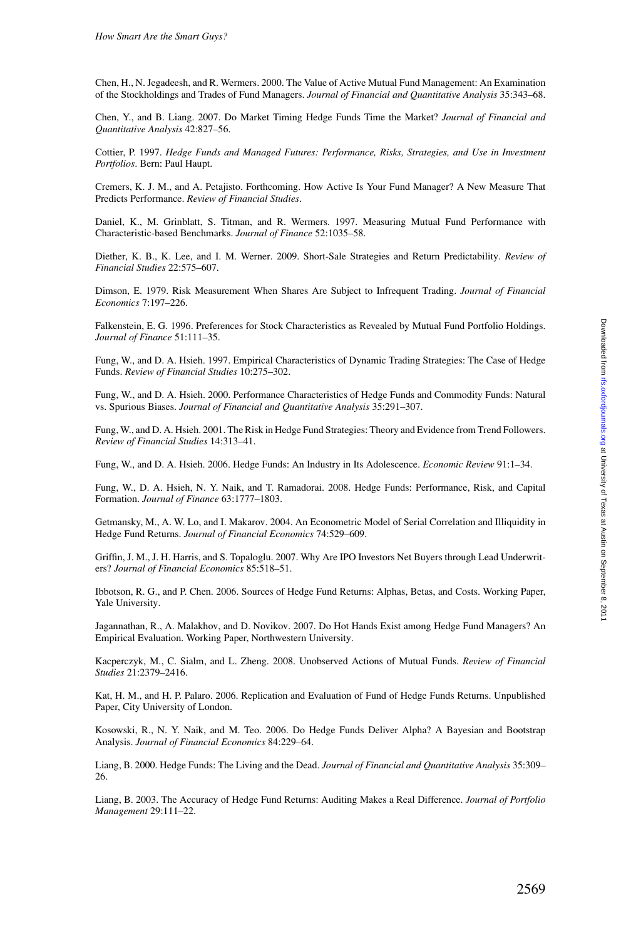Chen, H., N. Jegadeesh, and R. Wermers. 2000. The Value of Active Mutual Fund Management: An Examination of the Stockholdings and Trades of Fund Managers. *Journal of Financial and Quantitative Analysis* 35:343–68.

Chen, Y., and B. Liang. 2007. Do Market Timing Hedge Funds Time the Market? *Journal of Financial and Quantitative Analysis* 42:827–56.

Cottier, P. 1997. *Hedge Funds and Managed Futures: Performance, Risks, Strategies, and Use in Investment Portfolios*. Bern: Paul Haupt.

Cremers, K. J. M., and A. Petajisto. Forthcoming. How Active Is Your Fund Manager? A New Measure That Predicts Performance. *Review of Financial Studies*.

Daniel, K., M. Grinblatt, S. Titman, and R. Wermers. 1997. Measuring Mutual Fund Performance with Characteristic-based Benchmarks. *Journal of Finance* 52:1035–58.

Diether, K. B., K. Lee, and I. M. Werner. 2009. Short-Sale Strategies and Return Predictability. *Review of Financial Studies* 22:575–607.

Dimson, E. 1979. Risk Measurement When Shares Are Subject to Infrequent Trading. *Journal of Financial Economics* 7:197–226.

Falkenstein, E. G. 1996. Preferences for Stock Characteristics as Revealed by Mutual Fund Portfolio Holdings. *Journal of Finance* 51:111–35.

Fung, W., and D. A. Hsieh. 1997. Empirical Characteristics of Dynamic Trading Strategies: The Case of Hedge Funds. *Review of Financial Studies* 10:275–302.

Fung, W., and D. A. Hsieh. 2000. Performance Characteristics of Hedge Funds and Commodity Funds: Natural vs. Spurious Biases. *Journal of Financial and Quantitative Analysis* 35:291–307.

Fung, W., and D. A. Hsieh. 2001. The Risk in Hedge Fund Strategies: Theory and Evidence from Trend Followers. *Review of Financial Studies* 14:313–41.

Fung, W., and D. A. Hsieh. 2006. Hedge Funds: An Industry in Its Adolescence. *Economic Review* 91:1–34.

Fung, W., D. A. Hsieh, N. Y. Naik, and T. Ramadorai. 2008. Hedge Funds: Performance, Risk, and Capital Formation. *Journal of Finance* 63:1777–1803.

Getmansky, M., A. W. Lo, and I. Makarov. 2004. An Econometric Model of Serial Correlation and Illiquidity in Hedge Fund Returns. *Journal of Financial Economics* 74:529–609.

Griffin, J. M., J. H. Harris, and S. Topaloglu. 2007. Why Are IPO Investors Net Buyers through Lead Underwriters? *Journal of Financial Economics* 85:518–51.

Ibbotson, R. G., and P. Chen. 2006. Sources of Hedge Fund Returns: Alphas, Betas, and Costs. Working Paper, Yale University.

Jagannathan, R., A. Malakhov, and D. Novikov. 2007. Do Hot Hands Exist among Hedge Fund Managers? An Empirical Evaluation. Working Paper, Northwestern University.

Kacperczyk, M., C. Sialm, and L. Zheng. 2008. Unobserved Actions of Mutual Funds. *Review of Financial Studies* 21:2379–2416.

Kat, H. M., and H. P. Palaro. 2006. Replication and Evaluation of Fund of Hedge Funds Returns. Unpublished Paper, City University of London.

Kosowski, R., N. Y. Naik, and M. Teo. 2006. Do Hedge Funds Deliver Alpha? A Bayesian and Bootstrap Analysis. *Journal of Financial Economics* 84:229–64.

Liang, B. 2000. Hedge Funds: The Living and the Dead. *Journal of Financial and Quantitative Analysis* 35:309– 26.

Liang, B. 2003. The Accuracy of Hedge Fund Returns: Auditing Makes a Real Difference. *Journal of Portfolio Management* 29:111–22.